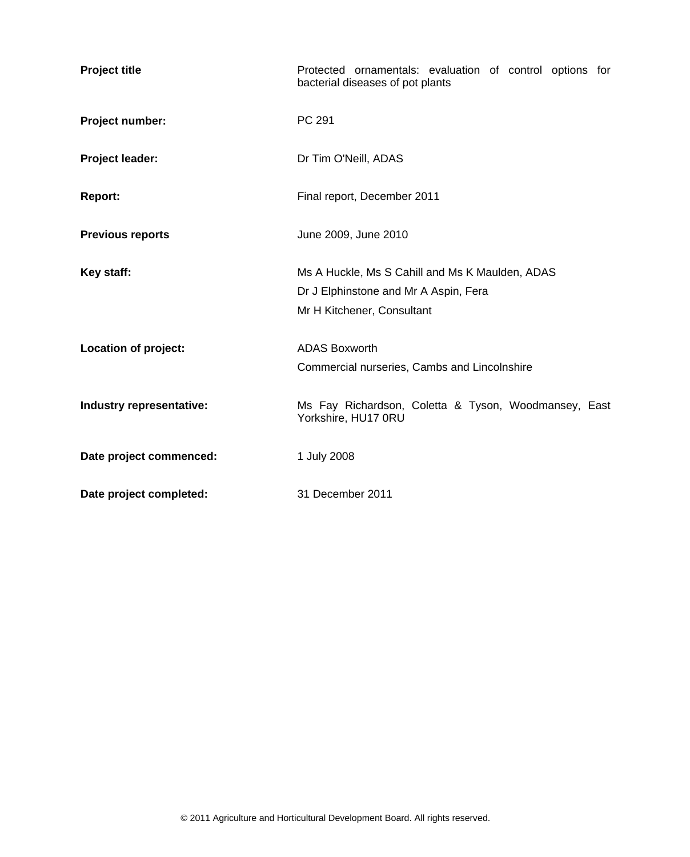| <b>Project title</b>     | Protected ornamentals: evaluation of control options for<br>bacterial diseases of pot plants |
|--------------------------|----------------------------------------------------------------------------------------------|
| Project number:          | PC 291                                                                                       |
| Project leader:          | Dr Tim O'Neill, ADAS                                                                         |
| <b>Report:</b>           | Final report, December 2011                                                                  |
| <b>Previous reports</b>  | June 2009, June 2010                                                                         |
| Key staff:               | Ms A Huckle, Ms S Cahill and Ms K Maulden, ADAS<br>Dr J Elphinstone and Mr A Aspin, Fera     |
|                          | Mr H Kitchener, Consultant                                                                   |
| Location of project:     | <b>ADAS Boxworth</b>                                                                         |
|                          | Commercial nurseries, Cambs and Lincolnshire                                                 |
| Industry representative: | Ms Fay Richardson, Coletta & Tyson, Woodmansey, East<br>Yorkshire, HU17 0RU                  |
| Date project commenced:  | 1 July 2008                                                                                  |
| Date project completed:  | 31 December 2011                                                                             |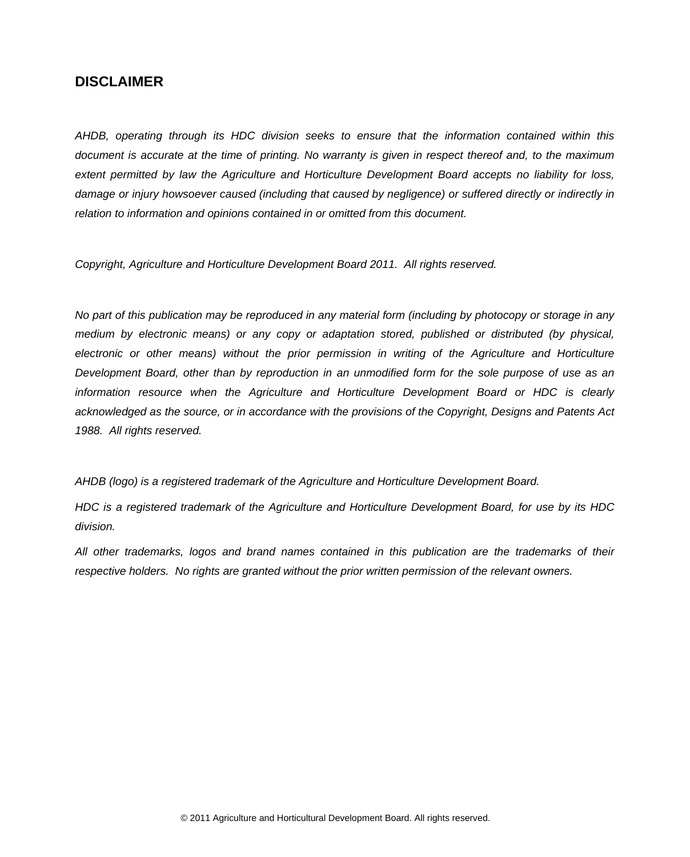# **DISCLAIMER**

*AHDB, operating through its HDC division seeks to ensure that the information contained within this document is accurate at the time of printing. No warranty is given in respect thereof and, to the maximum extent permitted by law the Agriculture and Horticulture Development Board accepts no liability for loss, damage or injury howsoever caused (including that caused by negligence) or suffered directly or indirectly in relation to information and opinions contained in or omitted from this document.*

*Copyright, Agriculture and Horticulture Development Board 2011. All rights reserved.*

*No part of this publication may be reproduced in any material form (including by photocopy or storage in any medium by electronic means) or any copy or adaptation stored, published or distributed (by physical,*  electronic or other means) without the prior permission in writing of the Agriculture and Horticulture *Development Board, other than by reproduction in an unmodified form for the sole purpose of use as an information resource when the Agriculture and Horticulture Development Board or HDC is clearly acknowledged as the source, or in accordance with the provisions of the Copyright, Designs and Patents Act 1988. All rights reserved.*

*AHDB (logo) is a registered trademark of the Agriculture and Horticulture Development Board.*

*HDC is a registered trademark of the Agriculture and Horticulture Development Board, for use by its HDC division.*

*All other trademarks, logos and brand names contained in this publication are the trademarks of their respective holders. No rights are granted without the prior written permission of the relevant owners.*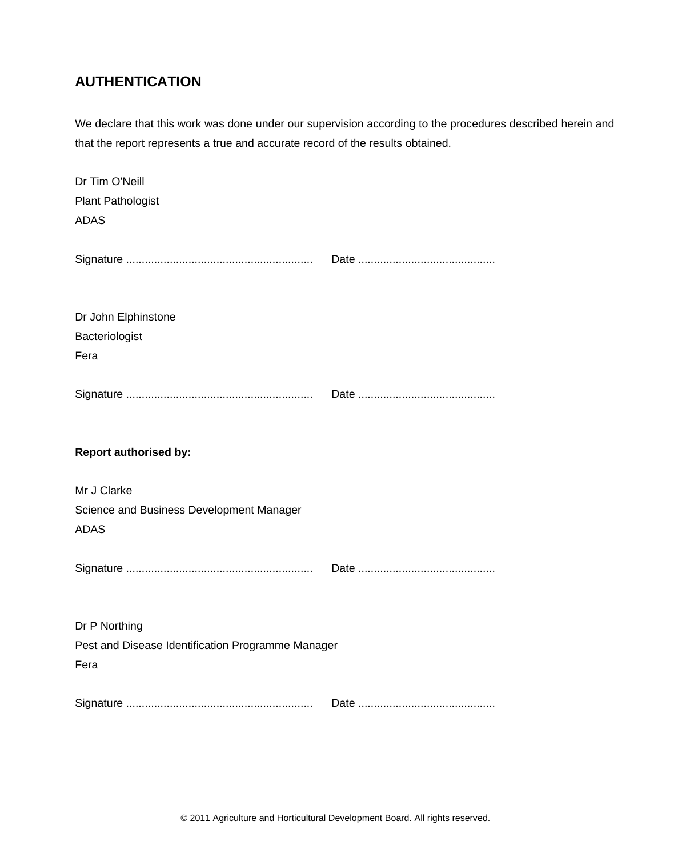# **AUTHENTICATION**

We declare that this work was done under our supervision according to the procedures described herein and that the report represents a true and accurate record of the results obtained.

| Dr Tim O'Neill<br><b>Plant Pathologist</b><br><b>ADAS</b>                  |  |
|----------------------------------------------------------------------------|--|
|                                                                            |  |
| Dr John Elphinstone<br>Bacteriologist<br>Fera                              |  |
|                                                                            |  |
| <b>Report authorised by:</b>                                               |  |
| Mr J Clarke<br>Science and Business Development Manager<br><b>ADAS</b>     |  |
|                                                                            |  |
| Dr P Northing<br>Pest and Disease Identification Programme Manager<br>Fera |  |
|                                                                            |  |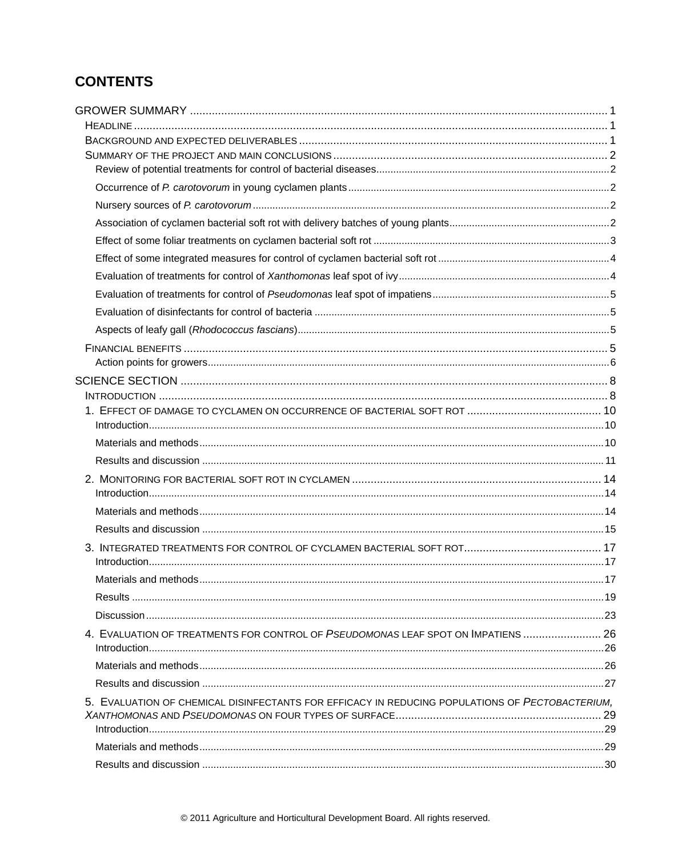# **CONTENTS**

| 4. EVALUATION OF TREATMENTS FOR CONTROL OF PSEUDOMONAS LEAF SPOT ON IMPATIENS  26               |  |
|-------------------------------------------------------------------------------------------------|--|
|                                                                                                 |  |
|                                                                                                 |  |
| 5. EVALUATION OF CHEMICAL DISINFECTANTS FOR EFFICACY IN REDUCING POPULATIONS OF PECTOBACTERIUM. |  |
|                                                                                                 |  |
|                                                                                                 |  |
|                                                                                                 |  |
|                                                                                                 |  |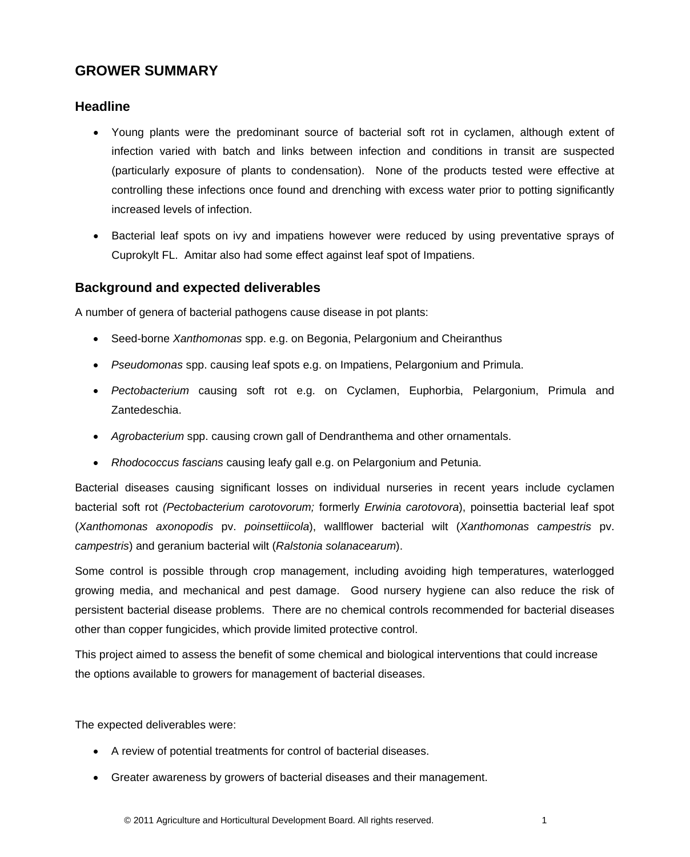# <span id="page-5-0"></span>**GROWER SUMMARY**

## <span id="page-5-1"></span>**Headline**

- Young plants were the predominant source of bacterial soft rot in cyclamen, although extent of infection varied with batch and links between infection and conditions in transit are suspected (particularly exposure of plants to condensation). None of the products tested were effective at controlling these infections once found and drenching with excess water prior to potting significantly increased levels of infection.
- Bacterial leaf spots on ivy and impatiens however were reduced by using preventative sprays of Cuprokylt FL. Amitar also had some effect against leaf spot of Impatiens.

## <span id="page-5-2"></span>**Background and expected deliverables**

A number of genera of bacterial pathogens cause disease in pot plants:

- Seed-borne *Xanthomonas* spp. e.g. on Begonia, Pelargonium and Cheiranthus
- *Pseudomonas* spp. causing leaf spots e.g. on Impatiens, Pelargonium and Primula.
- *Pectobacterium* causing soft rot e.g. on Cyclamen, Euphorbia, Pelargonium, Primula and Zantedeschia.
- *Agrobacterium* spp. causing crown gall of Dendranthema and other ornamentals.
- *Rhodococcus fascians* causing leafy gall e.g. on Pelargonium and Petunia.

Bacterial diseases causing significant losses on individual nurseries in recent years include cyclamen bacterial soft rot *(Pectobacterium carotovorum;* formerly *Erwinia carotovora*), poinsettia bacterial leaf spot (*Xanthomonas axonopodis* pv. *poinsettiicola*), wallflower bacterial wilt (*Xanthomonas campestris* pv. *campestris*) and geranium bacterial wilt (*Ralstonia solanacearum*).

Some control is possible through crop management, including avoiding high temperatures, waterlogged growing media, and mechanical and pest damage. Good nursery hygiene can also reduce the risk of persistent bacterial disease problems. There are no chemical controls recommended for bacterial diseases other than copper fungicides, which provide limited protective control.

This project aimed to assess the benefit of some chemical and biological interventions that could increase the options available to growers for management of bacterial diseases.

The expected deliverables were:

- A review of potential treatments for control of bacterial diseases.
- Greater awareness by growers of bacterial diseases and their management.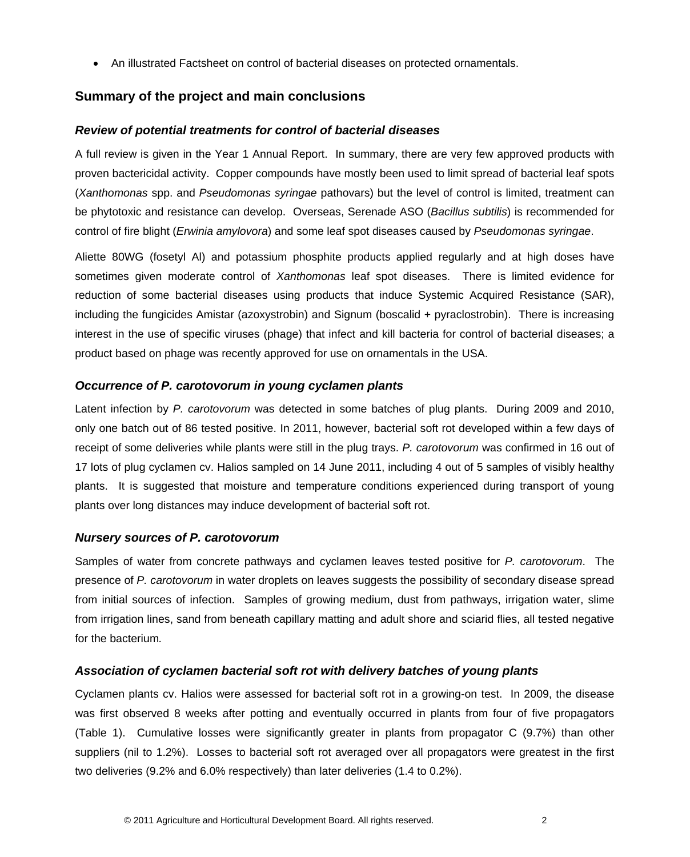• An illustrated Factsheet on control of bacterial diseases on protected ornamentals.

## <span id="page-6-0"></span>**Summary of the project and main conclusions**

#### <span id="page-6-1"></span>*Review of potential treatments for control of bacterial diseases*

A full review is given in the Year 1 Annual Report. In summary, there are very few approved products with proven bactericidal activity. Copper compounds have mostly been used to limit spread of bacterial leaf spots (*Xanthomonas* spp. and *Pseudomonas syringae* pathovars) but the level of control is limited, treatment can be phytotoxic and resistance can develop. Overseas, Serenade ASO (*Bacillus subtilis*) is recommended for control of fire blight (*Erwinia amylovora*) and some leaf spot diseases caused by *Pseudomonas syringae*.

Aliette 80WG (fosetyl Al) and potassium phosphite products applied regularly and at high doses have sometimes given moderate control of *Xanthomonas* leaf spot diseases. There is limited evidence for reduction of some bacterial diseases using products that induce Systemic Acquired Resistance (SAR), including the fungicides Amistar (azoxystrobin) and Signum (boscalid + pyraclostrobin). There is increasing interest in the use of specific viruses (phage) that infect and kill bacteria for control of bacterial diseases; a product based on phage was recently approved for use on ornamentals in the USA.

#### <span id="page-6-2"></span>*Occurrence of P. carotovorum in young cyclamen plants*

Latent infection by *P. carotovorum* was detected in some batches of plug plants. During 2009 and 2010, only one batch out of 86 tested positive. In 2011, however, bacterial soft rot developed within a few days of receipt of some deliveries while plants were still in the plug trays. *P. carotovorum* was confirmed in 16 out of 17 lots of plug cyclamen cv. Halios sampled on 14 June 2011, including 4 out of 5 samples of visibly healthy plants. It is suggested that moisture and temperature conditions experienced during transport of young plants over long distances may induce development of bacterial soft rot.

#### <span id="page-6-3"></span>*Nursery sources of P. carotovorum*

Samples of water from concrete pathways and cyclamen leaves tested positive for *P. carotovorum*. The presence of *P. carotovorum* in water droplets on leaves suggests the possibility of secondary disease spread from initial sources of infection. Samples of growing medium, dust from pathways, irrigation water, slime from irrigation lines, sand from beneath capillary matting and adult shore and sciarid flies, all tested negative for the bacterium*.*

#### <span id="page-6-4"></span>*Association of cyclamen bacterial soft rot with delivery batches of young plants*

Cyclamen plants cv. Halios were assessed for bacterial soft rot in a growing-on test. In 2009, the disease was first observed 8 weeks after potting and eventually occurred in plants from four of five propagators (Table 1). Cumulative losses were significantly greater in plants from propagator C (9.7%) than other suppliers (nil to 1.2%). Losses to bacterial soft rot averaged over all propagators were greatest in the first two deliveries (9.2% and 6.0% respectively) than later deliveries (1.4 to 0.2%).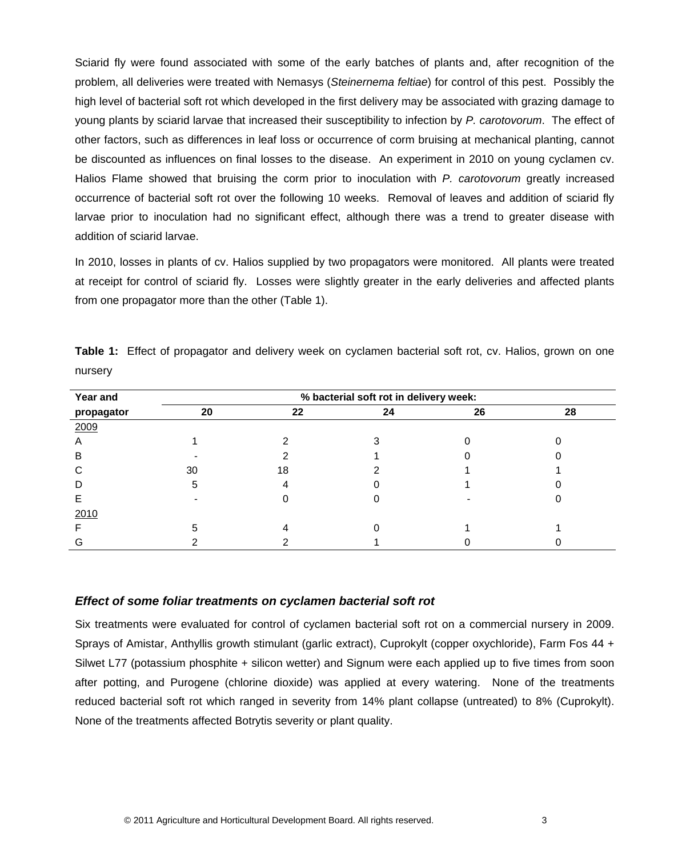Sciarid fly were found associated with some of the early batches of plants and, after recognition of the problem, all deliveries were treated with Nemasys (*Steinernema feltiae*) for control of this pest. Possibly the high level of bacterial soft rot which developed in the first delivery may be associated with grazing damage to young plants by sciarid larvae that increased their susceptibility to infection by *P. carotovorum*. The effect of other factors, such as differences in leaf loss or occurrence of corm bruising at mechanical planting, cannot be discounted as influences on final losses to the disease. An experiment in 2010 on young cyclamen cv. Halios Flame showed that bruising the corm prior to inoculation with *P. carotovorum* greatly increased occurrence of bacterial soft rot over the following 10 weeks. Removal of leaves and addition of sciarid fly larvae prior to inoculation had no significant effect, although there was a trend to greater disease with addition of sciarid larvae.

In 2010, losses in plants of cv. Halios supplied by two propagators were monitored. All plants were treated at receipt for control of sciarid fly. Losses were slightly greater in the early deliveries and affected plants from one propagator more than the other (Table 1).

| Year and   | % bacterial soft rot in delivery week: |    |    |    |    |  |  |  |
|------------|----------------------------------------|----|----|----|----|--|--|--|
| propagator | 20                                     | 22 | 24 | 26 | 28 |  |  |  |
| 2009       |                                        |    |    |    |    |  |  |  |
| A          |                                        |    |    |    |    |  |  |  |
| B          |                                        |    |    |    |    |  |  |  |
| ⌒          | 30                                     | 18 |    |    |    |  |  |  |
|            | 5                                      |    |    |    |    |  |  |  |
|            |                                        |    |    |    |    |  |  |  |
| 2010       |                                        |    |    |    |    |  |  |  |
|            |                                        |    |    |    |    |  |  |  |
|            |                                        |    |    |    |    |  |  |  |

**Table 1:** Effect of propagator and delivery week on cyclamen bacterial soft rot, cv. Halios, grown on one nursery

## <span id="page-7-0"></span>*Effect of some foliar treatments on cyclamen bacterial soft rot*

Six treatments were evaluated for control of cyclamen bacterial soft rot on a commercial nursery in 2009. Sprays of Amistar, Anthyllis growth stimulant (garlic extract), Cuprokylt (copper oxychloride), Farm Fos 44 + Silwet L77 (potassium phosphite + silicon wetter) and Signum were each applied up to five times from soon after potting, and Purogene (chlorine dioxide) was applied at every watering. None of the treatments reduced bacterial soft rot which ranged in severity from 14% plant collapse (untreated) to 8% (Cuprokylt). None of the treatments affected Botrytis severity or plant quality.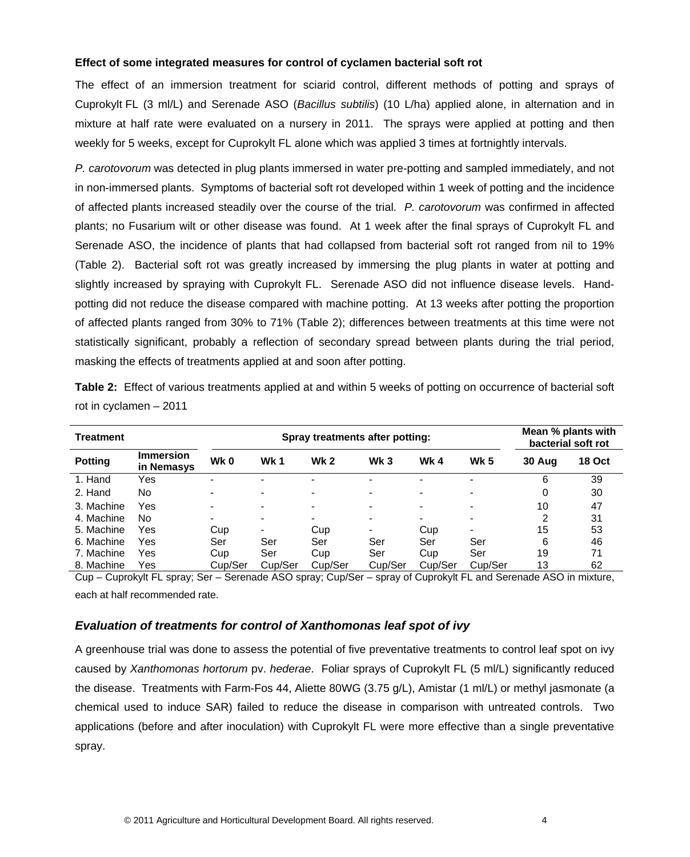#### <span id="page-8-0"></span>**Effect of some integrated measures for control of cyclamen bacterial soft rot**

The effect of an immersion treatment for sciarid control, different methods of potting and sprays of Cuprokylt FL (3 ml/L) and Serenade ASO (*Bacillus subtilis*) (10 L/ha) applied alone, in alternation and in mixture at half rate were evaluated on a nursery in 2011. The sprays were applied at potting and then weekly for 5 weeks, except for Cuprokylt FL alone which was applied 3 times at fortnightly intervals.

*P. carotovorum* was detected in plug plants immersed in water pre-potting and sampled immediately, and not in non-immersed plants. Symptoms of bacterial soft rot developed within 1 week of potting and the incidence of affected plants increased steadily over the course of the trial. *P. carotovorum* was confirmed in affected plants; no Fusarium wilt or other disease was found. At 1 week after the final sprays of Cuprokylt FL and Serenade ASO, the incidence of plants that had collapsed from bacterial soft rot ranged from nil to 19% (Table 2). Bacterial soft rot was greatly increased by immersing the plug plants in water at potting and slightly increased by spraying with Cuprokylt FL. Serenade ASO did not influence disease levels. Handpotting did not reduce the disease compared with machine potting. At 13 weeks after potting the proportion of affected plants ranged from 30% to 71% (Table 2); differences between treatments at this time were not statistically significant, probably a reflection of secondary spread between plants during the trial period, masking the effects of treatments applied at and soon after potting.

| Treatment      |                                |         | Spray treatments after potting: |             | Mean % plants with<br>bacterial soft rot |            |                          |        |               |
|----------------|--------------------------------|---------|---------------------------------|-------------|------------------------------------------|------------|--------------------------|--------|---------------|
| <b>Potting</b> | <b>Immersion</b><br>in Nemasys | Wk 0    | <b>Wk1</b>                      | <b>Wk 2</b> | Wk <sub>3</sub>                          | <b>Wk4</b> | <b>Wk 5</b>              | 30 Aug | <b>18 Oct</b> |
| 1. Hand        | Yes                            |         |                                 |             |                                          |            |                          | 6      | 39            |
| 2. Hand        | No                             |         | -                               |             | -                                        | ۰          | ۰                        | 0      | 30            |
| 3. Machine     | Yes                            |         | -                               |             | -                                        | ۰          | ۰                        | 10     | 47            |
| 4. Machine     | No.                            |         |                                 |             | ۰                                        | ۰          | ۰                        | 2      | 31            |
| 5. Machine     | Yes                            | Cup     |                                 | Cup         |                                          | Cup        | $\overline{\phantom{0}}$ | 15     | 53            |
| 6. Machine     | Yes                            | Ser     | Ser                             | Ser         | Ser                                      | Ser        | Ser                      | 6      | 46            |
| 7. Machine     | Yes                            | Cup     | Ser                             | Cup         | Ser                                      | Cup        | Ser                      | 19     | 71            |
| 8. Machine     | Yes                            | Cup/Ser | Cup/Ser                         | Cup/Ser     | Cup/Ser                                  | Cup/Ser    | Cup/Ser                  | 13     | 62            |

**Table 2:** Effect of various treatments applied at and within 5 weeks of potting on occurrence of bacterial soft rot in cyclamen – 2011

<span id="page-8-1"></span>Cup – Cuprokylt FL spray; Ser – Serenade ASO spray; Cup/Ser – spray of Cuprokylt FL and Serenade ASO in mixture, each at half recommended rate.

#### *Evaluation of treatments for control of Xanthomonas leaf spot of ivy*

A greenhouse trial was done to assess the potential of five preventative treatments to control leaf spot on ivy caused by *Xanthomonas hortorum* pv. *hederae*. Foliar sprays of Cuprokylt FL (5 ml/L) significantly reduced the disease. Treatments with Farm-Fos 44, Aliette 80WG (3.75 g/L), Amistar (1 ml/L) or methyl jasmonate (a chemical used to induce SAR) failed to reduce the disease in comparison with untreated controls. Two applications (before and after inoculation) with Cuprokylt FL were more effective than a single preventative spray.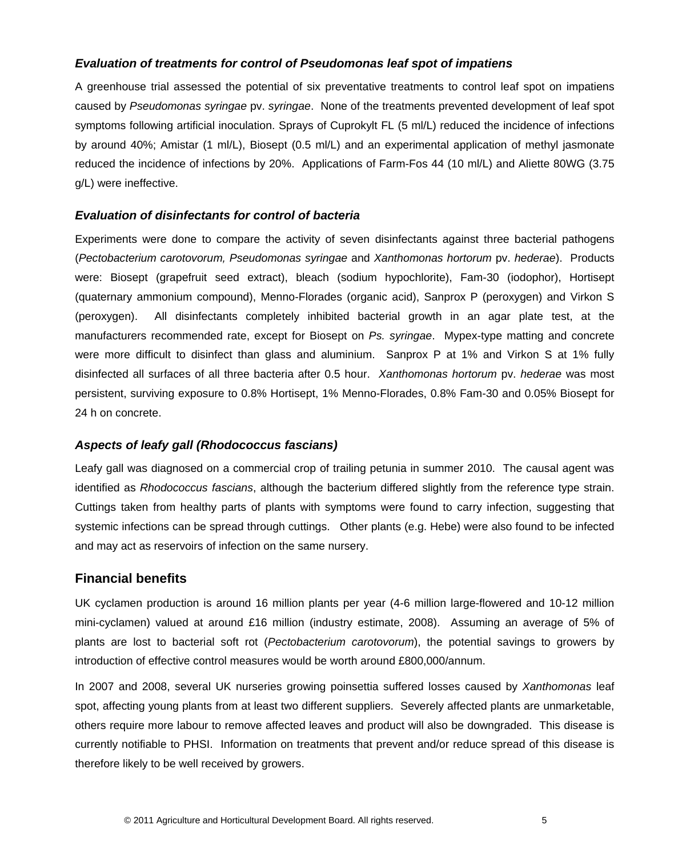## <span id="page-9-0"></span>*Evaluation of treatments for control of Pseudomonas leaf spot of impatiens*

A greenhouse trial assessed the potential of six preventative treatments to control leaf spot on impatiens caused by *Pseudomonas syringae* pv. *syringae*. None of the treatments prevented development of leaf spot symptoms following artificial inoculation. Sprays of Cuprokylt FL (5 ml/L) reduced the incidence of infections by around 40%; Amistar (1 ml/L), Biosept (0.5 ml/L) and an experimental application of methyl jasmonate reduced the incidence of infections by 20%. Applications of Farm-Fos 44 (10 ml/L) and Aliette 80WG (3.75 g/L) were ineffective.

## <span id="page-9-1"></span>*Evaluation of disinfectants for control of bacteria*

Experiments were done to compare the activity of seven disinfectants against three bacterial pathogens (*Pectobacterium carotovorum, Pseudomonas syringae* and *Xanthomonas hortorum* pv. *hederae*). Products were: Biosept (grapefruit seed extract), bleach (sodium hypochlorite), Fam-30 (iodophor), Hortisept (quaternary ammonium compound), Menno-Florades (organic acid), Sanprox P (peroxygen) and Virkon S (peroxygen). All disinfectants completely inhibited bacterial growth in an agar plate test, at the manufacturers recommended rate, except for Biosept on *Ps. syringae*. Mypex-type matting and concrete were more difficult to disinfect than glass and aluminium. Sanprox P at 1% and Virkon S at 1% fully disinfected all surfaces of all three bacteria after 0.5 hour. *Xanthomonas hortorum* pv. *hederae* was most persistent, surviving exposure to 0.8% Hortisept, 1% Menno-Florades, 0.8% Fam-30 and 0.05% Biosept for 24 h on concrete.

#### <span id="page-9-2"></span>*Aspects of leafy gall (Rhodococcus fascians)*

Leafy gall was diagnosed on a commercial crop of trailing petunia in summer 2010. The causal agent was identified as *Rhodococcus fascians*, although the bacterium differed slightly from the reference type strain. Cuttings taken from healthy parts of plants with symptoms were found to carry infection, suggesting that systemic infections can be spread through cuttings. Other plants (e.g. Hebe) were also found to be infected and may act as reservoirs of infection on the same nursery.

## <span id="page-9-3"></span>**Financial benefits**

UK cyclamen production is around 16 million plants per year (4-6 million large-flowered and 10-12 million mini-cyclamen) valued at around £16 million (industry estimate, 2008). Assuming an average of 5% of plants are lost to bacterial soft rot (*Pectobacterium carotovorum*), the potential savings to growers by introduction of effective control measures would be worth around £800,000/annum.

In 2007 and 2008, several UK nurseries growing poinsettia suffered losses caused by *Xanthomonas* leaf spot, affecting young plants from at least two different suppliers. Severely affected plants are unmarketable, others require more labour to remove affected leaves and product will also be downgraded. This disease is currently notifiable to PHSI. Information on treatments that prevent and/or reduce spread of this disease is therefore likely to be well received by growers.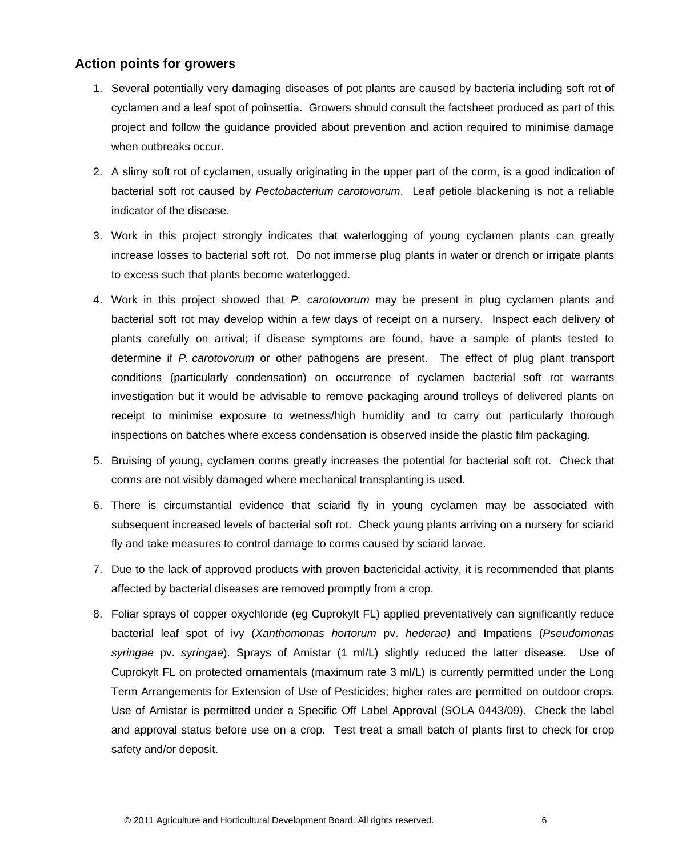# <span id="page-10-0"></span>**Action points for growers**

- 1. Several potentially very damaging diseases of pot plants are caused by bacteria including soft rot of cyclamen and a leaf spot of poinsettia. Growers should consult the factsheet produced as part of this project and follow the guidance provided about prevention and action required to minimise damage when outbreaks occur.
- 2. A slimy soft rot of cyclamen, usually originating in the upper part of the corm, is a good indication of bacterial soft rot caused by *Pectobacterium carotovorum*. Leaf petiole blackening is not a reliable indicator of the disease.
- 3. Work in this project strongly indicates that waterlogging of young cyclamen plants can greatly increase losses to bacterial soft rot. Do not immerse plug plants in water or drench or irrigate plants to excess such that plants become waterlogged.
- 4. Work in this project showed that *P. carotovorum* may be present in plug cyclamen plants and bacterial soft rot may develop within a few days of receipt on a nursery. Inspect each delivery of plants carefully on arrival; if disease symptoms are found, have a sample of plants tested to determine if *P. carotovorum* or other pathogens are present. The effect of plug plant transport conditions (particularly condensation) on occurrence of cyclamen bacterial soft rot warrants investigation but it would be advisable to remove packaging around trolleys of delivered plants on receipt to minimise exposure to wetness/high humidity and to carry out particularly thorough inspections on batches where excess condensation is observed inside the plastic film packaging.
- 5. Bruising of young, cyclamen corms greatly increases the potential for bacterial soft rot. Check that corms are not visibly damaged where mechanical transplanting is used.
- 6. There is circumstantial evidence that sciarid fly in young cyclamen may be associated with subsequent increased levels of bacterial soft rot. Check young plants arriving on a nursery for sciarid fly and take measures to control damage to corms caused by sciarid larvae.
- 7. Due to the lack of approved products with proven bactericidal activity, it is recommended that plants affected by bacterial diseases are removed promptly from a crop.
- 8. Foliar sprays of copper oxychloride (eg Cuprokylt FL) applied preventatively can significantly reduce bacterial leaf spot of ivy (*Xanthomonas hortorum* pv. *hederae)* and Impatiens (*Pseudomonas syringae* pv. *syringae*). Sprays of Amistar (1 ml/L) slightly reduced the latter disease*.* Use of Cuprokylt FL on protected ornamentals (maximum rate 3 ml/L) is currently permitted under the Long Term Arrangements for Extension of Use of Pesticides; higher rates are permitted on outdoor crops. Use of Amistar is permitted under a Specific Off Label Approval (SOLA 0443/09). Check the label and approval status before use on a crop. Test treat a small batch of plants first to check for crop safety and/or deposit.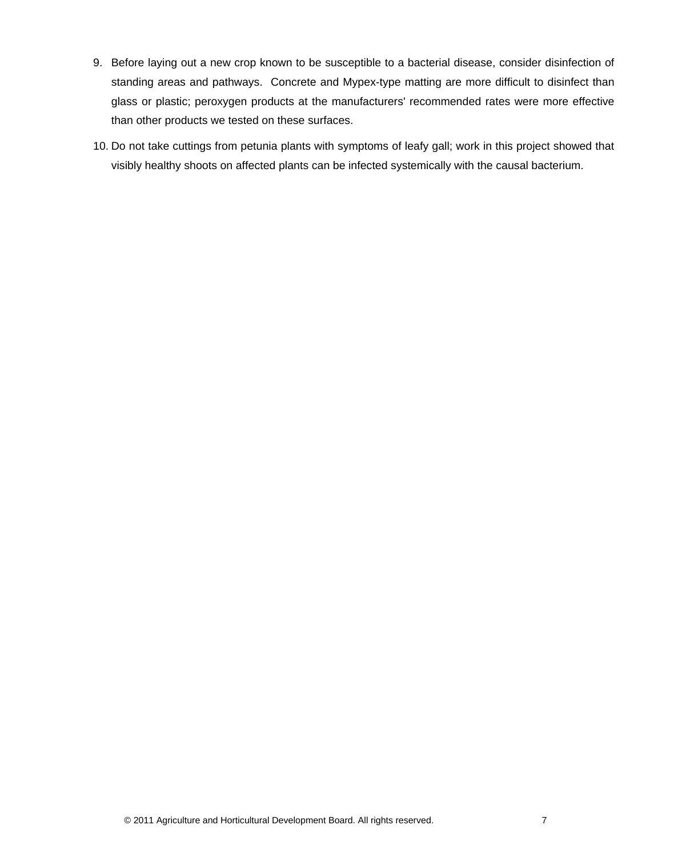- 9. Before laying out a new crop known to be susceptible to a bacterial disease, consider disinfection of standing areas and pathways. Concrete and Mypex-type matting are more difficult to disinfect than glass or plastic; peroxygen products at the manufacturers' recommended rates were more effective than other products we tested on these surfaces.
- 10. Do not take cuttings from petunia plants with symptoms of leafy gall; work in this project showed that visibly healthy shoots on affected plants can be infected systemically with the causal bacterium.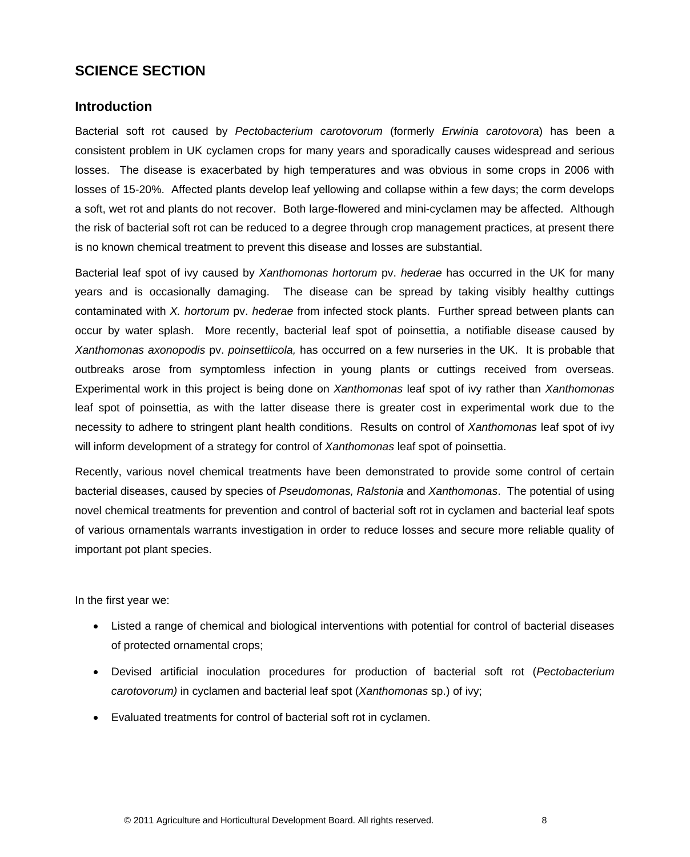# <span id="page-12-0"></span>**SCIENCE SECTION**

## <span id="page-12-1"></span>**Introduction**

Bacterial soft rot caused by *Pectobacterium carotovorum* (formerly *Erwinia carotovora*) has been a consistent problem in UK cyclamen crops for many years and sporadically causes widespread and serious losses. The disease is exacerbated by high temperatures and was obvious in some crops in 2006 with losses of 15-20%. Affected plants develop leaf yellowing and collapse within a few days; the corm develops a soft, wet rot and plants do not recover. Both large-flowered and mini-cyclamen may be affected. Although the risk of bacterial soft rot can be reduced to a degree through crop management practices, at present there is no known chemical treatment to prevent this disease and losses are substantial.

Bacterial leaf spot of ivy caused by *Xanthomonas hortorum* pv. *hederae* has occurred in the UK for many years and is occasionally damaging. The disease can be spread by taking visibly healthy cuttings contaminated with *X. hortorum* pv. *hederae* from infected stock plants. Further spread between plants can occur by water splash. More recently, bacterial leaf spot of poinsettia, a notifiable disease caused by *Xanthomonas axonopodis* pv. *poinsettiicola,* has occurred on a few nurseries in the UK. It is probable that outbreaks arose from symptomless infection in young plants or cuttings received from overseas. Experimental work in this project is being done on *Xanthomonas* leaf spot of ivy rather than *Xanthomonas* leaf spot of poinsettia, as with the latter disease there is greater cost in experimental work due to the necessity to adhere to stringent plant health conditions. Results on control of *Xanthomonas* leaf spot of ivy will inform development of a strategy for control of *Xanthomonas* leaf spot of poinsettia.

Recently, various novel chemical treatments have been demonstrated to provide some control of certain bacterial diseases, caused by species of *Pseudomonas, Ralstonia* and *Xanthomonas*. The potential of using novel chemical treatments for prevention and control of bacterial soft rot in cyclamen and bacterial leaf spots of various ornamentals warrants investigation in order to reduce losses and secure more reliable quality of important pot plant species.

In the first year we:

- Listed a range of chemical and biological interventions with potential for control of bacterial diseases of protected ornamental crops;
- Devised artificial inoculation procedures for production of bacterial soft rot (*Pectobacterium carotovorum)* in cyclamen and bacterial leaf spot (*Xanthomonas* sp.) of ivy;
- Evaluated treatments for control of bacterial soft rot in cyclamen.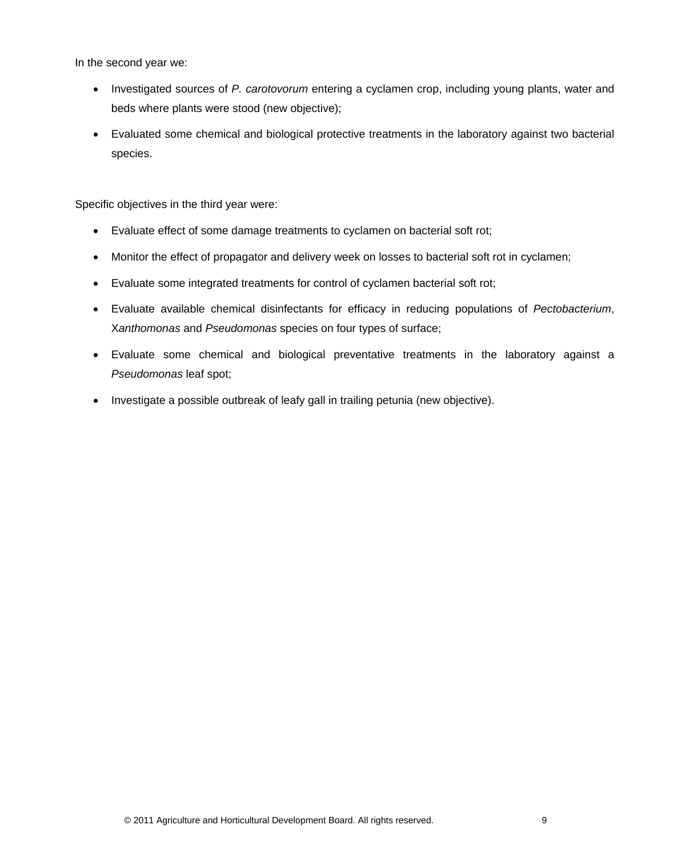In the second year we:

- Investigated sources of *P. carotovorum* entering a cyclamen crop, including young plants, water and beds where plants were stood (new objective);
- Evaluated some chemical and biological protective treatments in the laboratory against two bacterial species.

Specific objectives in the third year were:

- Evaluate effect of some damage treatments to cyclamen on bacterial soft rot;
- Monitor the effect of propagator and delivery week on losses to bacterial soft rot in cyclamen;
- Evaluate some integrated treatments for control of cyclamen bacterial soft rot;
- Evaluate available chemical disinfectants for efficacy in reducing populations of *Pectobacterium*, X*anthomonas* and *Pseudomonas* species on four types of surface;
- Evaluate some chemical and biological preventative treatments in the laboratory against a *Pseudomonas* leaf spot;
- Investigate a possible outbreak of leafy gall in trailing petunia (new objective).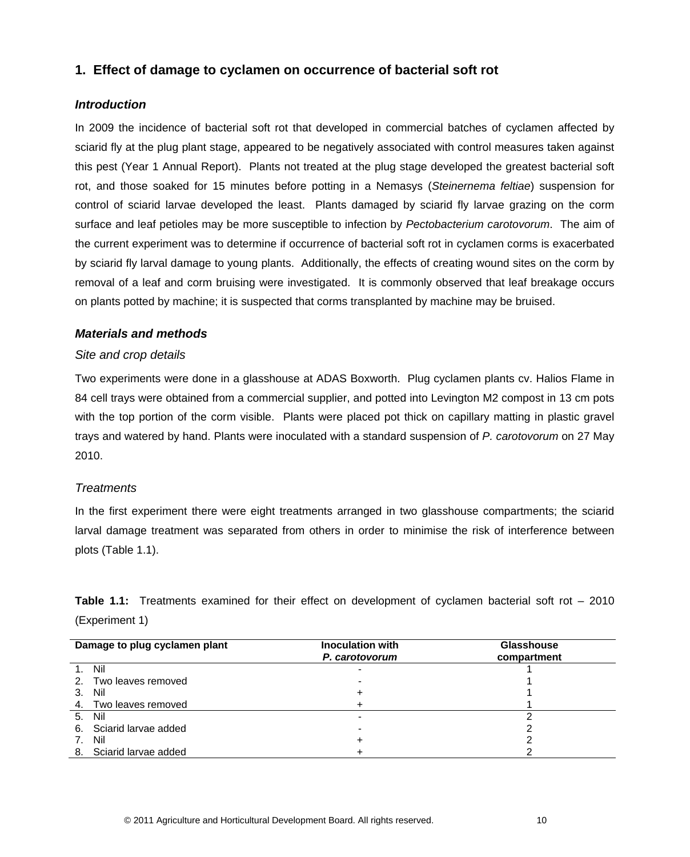## <span id="page-14-0"></span>**1. Effect of damage to cyclamen on occurrence of bacterial soft rot**

## <span id="page-14-1"></span>*Introduction*

In 2009 the incidence of bacterial soft rot that developed in commercial batches of cyclamen affected by sciarid fly at the plug plant stage, appeared to be negatively associated with control measures taken against this pest (Year 1 Annual Report). Plants not treated at the plug stage developed the greatest bacterial soft rot, and those soaked for 15 minutes before potting in a Nemasys (*Steinernema feltiae*) suspension for control of sciarid larvae developed the least. Plants damaged by sciarid fly larvae grazing on the corm surface and leaf petioles may be more susceptible to infection by *Pectobacterium carotovorum*. The aim of the current experiment was to determine if occurrence of bacterial soft rot in cyclamen corms is exacerbated by sciarid fly larval damage to young plants. Additionally, the effects of creating wound sites on the corm by removal of a leaf and corm bruising were investigated. It is commonly observed that leaf breakage occurs on plants potted by machine; it is suspected that corms transplanted by machine may be bruised.

## <span id="page-14-2"></span>*Materials and methods*

#### *Site and crop details*

Two experiments were done in a glasshouse at ADAS Boxworth. Plug cyclamen plants cv. Halios Flame in 84 cell trays were obtained from a commercial supplier, and potted into Levington M2 compost in 13 cm pots with the top portion of the corm visible. Plants were placed pot thick on capillary matting in plastic gravel trays and watered by hand. Plants were inoculated with a standard suspension of *P. carotovorum* on 27 May 2010.

## *Treatments*

In the first experiment there were eight treatments arranged in two glasshouse compartments; the sciarid larval damage treatment was separated from others in order to minimise the risk of interference between plots (Table 1.1).

| Damage to plug cyclamen plant | <b>Inoculation with</b><br>P. carotovorum | <b>Glasshouse</b><br>compartment |
|-------------------------------|-------------------------------------------|----------------------------------|
| - Nil                         |                                           |                                  |
| 2. Two leaves removed         |                                           |                                  |
| Nil<br>3.                     |                                           |                                  |
| Two leaves removed<br>4.      |                                           |                                  |
| Nil<br>5.                     |                                           |                                  |
| 6. Sciarid larvae added       |                                           |                                  |
| Nil<br>7.                     |                                           |                                  |
| 8. Sciarid larvae added       |                                           |                                  |

**Table 1.1:** Treatments examined for their effect on development of cyclamen bacterial soft rot – 2010 (Experiment 1)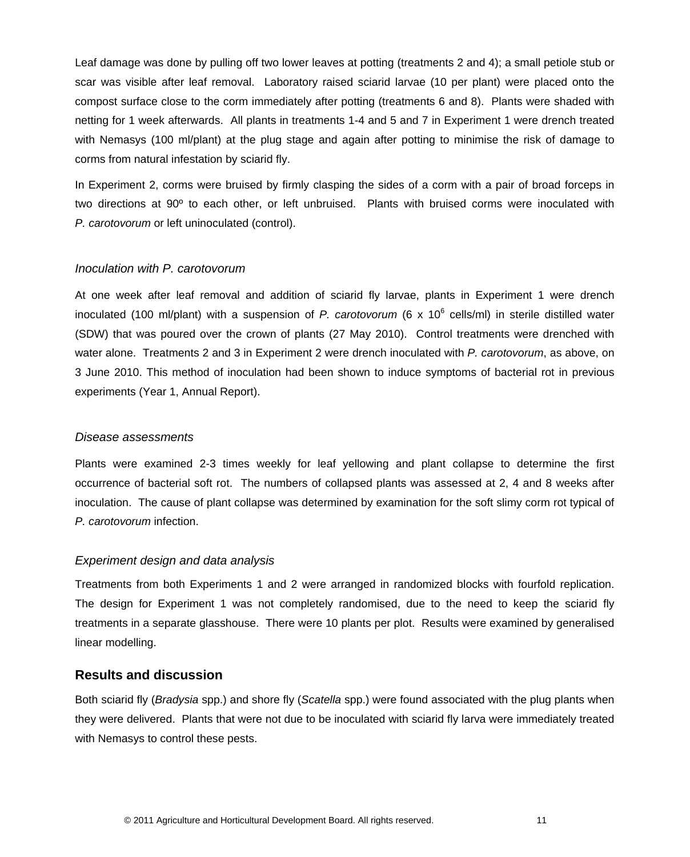Leaf damage was done by pulling off two lower leaves at potting (treatments 2 and 4); a small petiole stub or scar was visible after leaf removal. Laboratory raised sciarid larvae (10 per plant) were placed onto the compost surface close to the corm immediately after potting (treatments 6 and 8). Plants were shaded with netting for 1 week afterwards. All plants in treatments 1-4 and 5 and 7 in Experiment 1 were drench treated with Nemasys (100 ml/plant) at the plug stage and again after potting to minimise the risk of damage to corms from natural infestation by sciarid fly.

In Experiment 2, corms were bruised by firmly clasping the sides of a corm with a pair of broad forceps in two directions at 90º to each other, or left unbruised. Plants with bruised corms were inoculated with *P. carotovorum* or left uninoculated (control).

#### *Inoculation with P. carotovorum*

At one week after leaf removal and addition of sciarid fly larvae, plants in Experiment 1 were drench inoculated (100 ml/plant) with a suspension of *P. carotovorum* (6 x 10<sup>6</sup> cells/ml) in sterile distilled water (SDW) that was poured over the crown of plants (27 May 2010). Control treatments were drenched with water alone. Treatments 2 and 3 in Experiment 2 were drench inoculated with *P. carotovorum*, as above, on 3 June 2010. This method of inoculation had been shown to induce symptoms of bacterial rot in previous experiments (Year 1, Annual Report).

#### *Disease assessments*

Plants were examined 2-3 times weekly for leaf yellowing and plant collapse to determine the first occurrence of bacterial soft rot. The numbers of collapsed plants was assessed at 2, 4 and 8 weeks after inoculation. The cause of plant collapse was determined by examination for the soft slimy corm rot typical of *P. carotovorum* infection.

#### *Experiment design and data analysis*

Treatments from both Experiments 1 and 2 were arranged in randomized blocks with fourfold replication. The design for Experiment 1 was not completely randomised, due to the need to keep the sciarid fly treatments in a separate glasshouse. There were 10 plants per plot. Results were examined by generalised linear modelling.

### <span id="page-15-0"></span>**Results and discussion**

Both sciarid fly (*Bradysia* spp.) and shore fly (*Scatella* spp.) were found associated with the plug plants when they were delivered. Plants that were not due to be inoculated with sciarid fly larva were immediately treated with Nemasys to control these pests.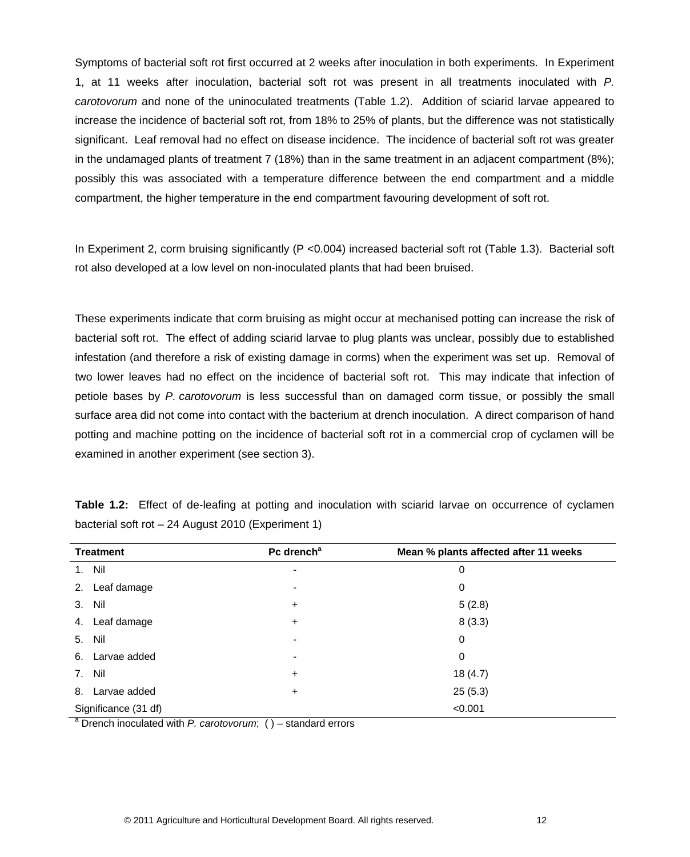Symptoms of bacterial soft rot first occurred at 2 weeks after inoculation in both experiments. In Experiment 1, at 11 weeks after inoculation, bacterial soft rot was present in all treatments inoculated with *P. carotovorum* and none of the uninoculated treatments (Table 1.2). Addition of sciarid larvae appeared to increase the incidence of bacterial soft rot, from 18% to 25% of plants, but the difference was not statistically significant. Leaf removal had no effect on disease incidence. The incidence of bacterial soft rot was greater in the undamaged plants of treatment 7 (18%) than in the same treatment in an adjacent compartment (8%); possibly this was associated with a temperature difference between the end compartment and a middle compartment, the higher temperature in the end compartment favouring development of soft rot.

In Experiment 2, corm bruising significantly (P < 0.004) increased bacterial soft rot (Table 1.3). Bacterial soft rot also developed at a low level on non-inoculated plants that had been bruised.

These experiments indicate that corm bruising as might occur at mechanised potting can increase the risk of bacterial soft rot. The effect of adding sciarid larvae to plug plants was unclear, possibly due to established infestation (and therefore a risk of existing damage in corms) when the experiment was set up. Removal of two lower leaves had no effect on the incidence of bacterial soft rot. This may indicate that infection of petiole bases by *P. carotovorum* is less successful than on damaged corm tissue, or possibly the small surface area did not come into contact with the bacterium at drench inoculation. A direct comparison of hand potting and machine potting on the incidence of bacterial soft rot in a commercial crop of cyclamen will be examined in another experiment (see section 3).

| <b>Treatment</b>     | Pc drench <sup>a</sup>   | Mean % plants affected after 11 weeks |
|----------------------|--------------------------|---------------------------------------|
| 1. Nil               | $\overline{\phantom{0}}$ | 0                                     |
| Leaf damage<br>2.    | ٠                        | 0                                     |
| Nil<br>3.            | $\ddot{}$                | 5(2.8)                                |
| Leaf damage<br>4.    | $\ddot{}$                | 8(3.3)                                |
| 5. Nil               |                          | $\mathbf 0$                           |
| 6. Larvae added      | ۰                        | 0                                     |
| 7. Nil               | $\ddot{}$                | 18(4.7)                               |
| Larvae added<br>8.   | $\ddot{}$                | 25(5.3)                               |
| Significance (31 df) |                          | < 0.001                               |

**Table 1.2:** Effect of de-leafing at potting and inoculation with sciarid larvae on occurrence of cyclamen bacterial soft rot – 24 August 2010 (Experiment 1)

<sup>a</sup> Drench inoculated with *P. carotovorum*; ( ) – standard errors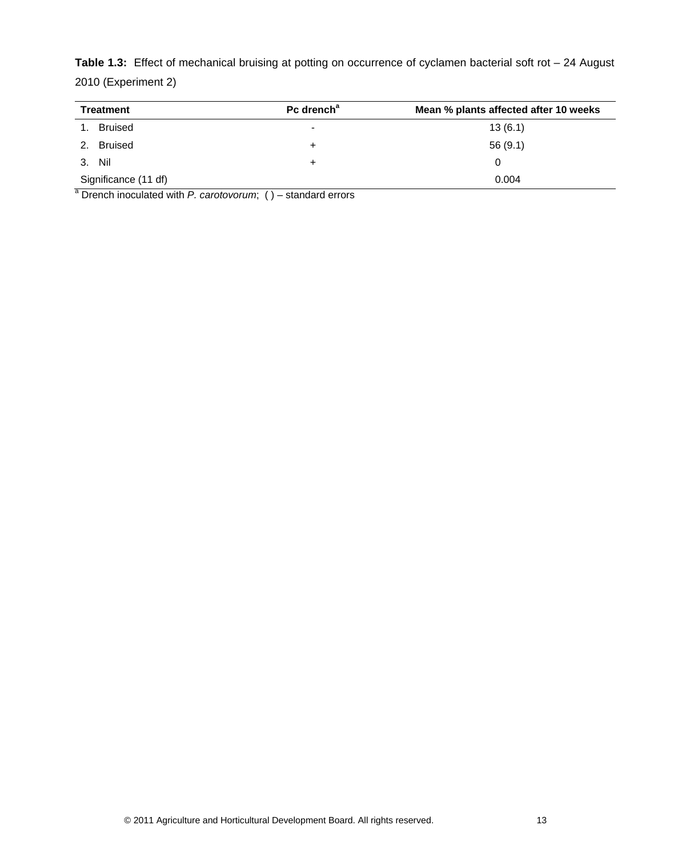**Table 1.3:** Effect of mechanical bruising at potting on occurrence of cyclamen bacterial soft rot – 24 August 2010 (Experiment 2)

| <b>Treatment</b>     | Pc drench <sup>a</sup> | Mean % plants affected after 10 weeks |
|----------------------|------------------------|---------------------------------------|
| Bruised              | ۰                      | 13(6.1)                               |
| Bruised              | ÷                      | 56(9.1)                               |
| 3. Nil               | ÷                      | 0                                     |
| Significance (11 df) |                        | 0.004                                 |

<sup>a</sup> Drench inoculated with *P. carotovorum*; ( ) – standard errors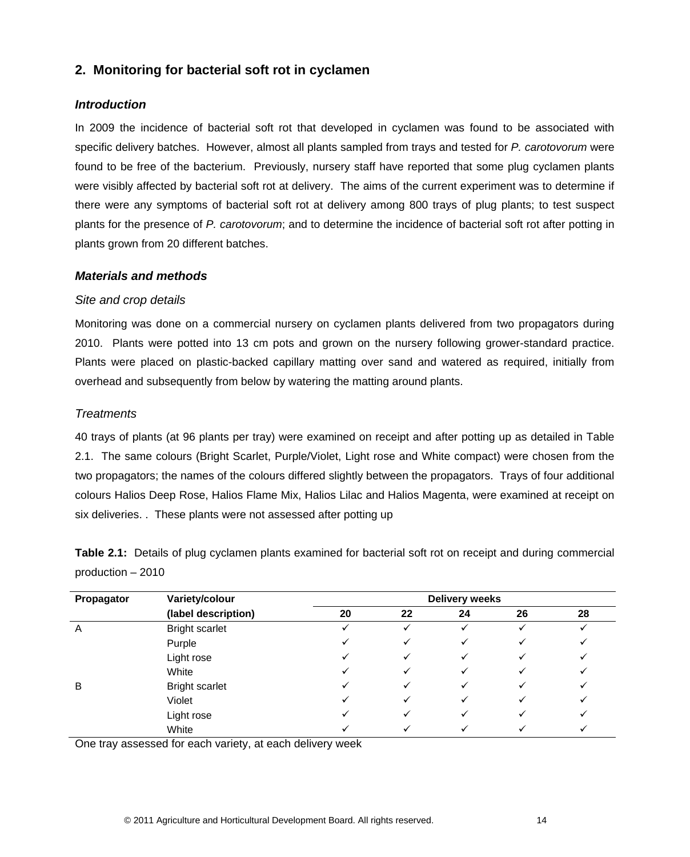# <span id="page-18-0"></span>**2. Monitoring for bacterial soft rot in cyclamen**

### <span id="page-18-1"></span>*Introduction*

In 2009 the incidence of bacterial soft rot that developed in cyclamen was found to be associated with specific delivery batches. However, almost all plants sampled from trays and tested for *P. carotovorum* were found to be free of the bacterium. Previously, nursery staff have reported that some plug cyclamen plants were visibly affected by bacterial soft rot at delivery. The aims of the current experiment was to determine if there were any symptoms of bacterial soft rot at delivery among 800 trays of plug plants; to test suspect plants for the presence of *P. carotovorum*; and to determine the incidence of bacterial soft rot after potting in plants grown from 20 different batches.

#### <span id="page-18-2"></span>*Materials and methods*

## *Site and crop details*

Monitoring was done on a commercial nursery on cyclamen plants delivered from two propagators during 2010. Plants were potted into 13 cm pots and grown on the nursery following grower-standard practice. Plants were placed on plastic-backed capillary matting over sand and watered as required, initially from overhead and subsequently from below by watering the matting around plants.

## *Treatments*

40 trays of plants (at 96 plants per tray) were examined on receipt and after potting up as detailed in Table 2.1. The same colours (Bright Scarlet, Purple/Violet, Light rose and White compact) were chosen from the two propagators; the names of the colours differed slightly between the propagators. Trays of four additional colours Halios Deep Rose, Halios Flame Mix, Halios Lilac and Halios Magenta, were examined at receipt on six deliveries. . These plants were not assessed after potting up

**Table 2.1:** Details of plug cyclamen plants examined for bacterial soft rot on receipt and during commercial production – 2010

| Propagator | Variety/colour        | <b>Delivery weeks</b> |    |    |    |    |  |  |  |
|------------|-----------------------|-----------------------|----|----|----|----|--|--|--|
|            | (label description)   | 20                    | 22 | 24 | 26 | 28 |  |  |  |
| A          | <b>Bright scarlet</b> |                       |    |    |    |    |  |  |  |
|            | Purple                |                       |    |    |    |    |  |  |  |
|            | Light rose            |                       |    |    |    |    |  |  |  |
|            | White                 |                       |    |    |    |    |  |  |  |
| B          | <b>Bright scarlet</b> |                       |    |    |    |    |  |  |  |
|            | Violet                |                       |    |    |    |    |  |  |  |
|            | Light rose            |                       |    |    |    |    |  |  |  |
|            | White                 |                       |    |    |    |    |  |  |  |

One tray assessed for each variety, at each delivery week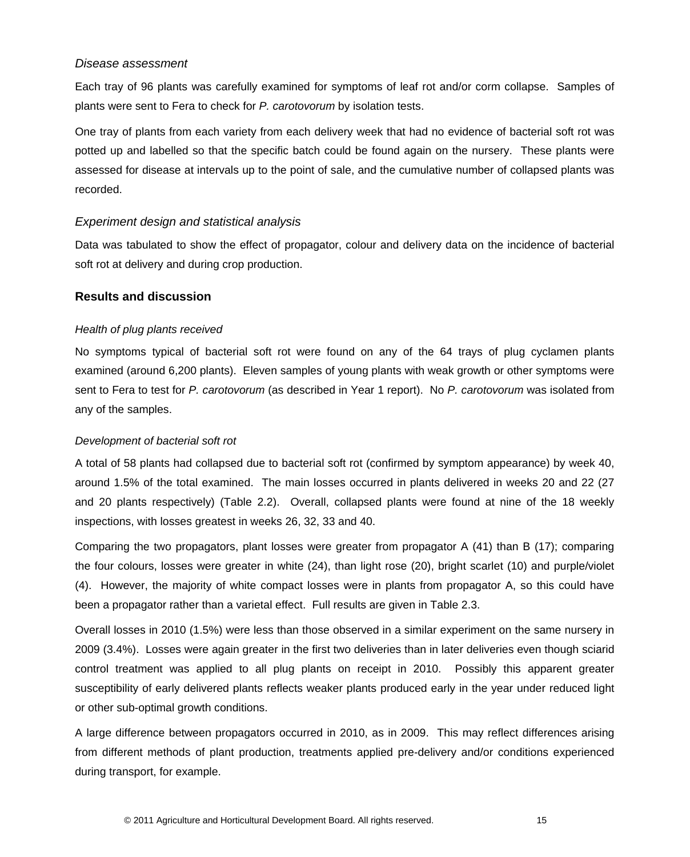#### *Disease assessment*

Each tray of 96 plants was carefully examined for symptoms of leaf rot and/or corm collapse. Samples of plants were sent to Fera to check for *P. carotovorum* by isolation tests.

One tray of plants from each variety from each delivery week that had no evidence of bacterial soft rot was potted up and labelled so that the specific batch could be found again on the nursery. These plants were assessed for disease at intervals up to the point of sale, and the cumulative number of collapsed plants was recorded.

#### *Experiment design and statistical analysis*

Data was tabulated to show the effect of propagator, colour and delivery data on the incidence of bacterial soft rot at delivery and during crop production.

#### <span id="page-19-0"></span>**Results and discussion**

#### *Health of plug plants received*

No symptoms typical of bacterial soft rot were found on any of the 64 trays of plug cyclamen plants examined (around 6,200 plants). Eleven samples of young plants with weak growth or other symptoms were sent to Fera to test for *P. carotovorum* (as described in Year 1 report). No *P. carotovorum* was isolated from any of the samples.

#### *Development of bacterial soft rot*

A total of 58 plants had collapsed due to bacterial soft rot (confirmed by symptom appearance) by week 40, around 1.5% of the total examined. The main losses occurred in plants delivered in weeks 20 and 22 (27 and 20 plants respectively) (Table 2.2). Overall, collapsed plants were found at nine of the 18 weekly inspections, with losses greatest in weeks 26, 32, 33 and 40.

Comparing the two propagators, plant losses were greater from propagator A (41) than B (17); comparing the four colours, losses were greater in white (24), than light rose (20), bright scarlet (10) and purple/violet (4). However, the majority of white compact losses were in plants from propagator A, so this could have been a propagator rather than a varietal effect. Full results are given in Table 2.3.

Overall losses in 2010 (1.5%) were less than those observed in a similar experiment on the same nursery in 2009 (3.4%). Losses were again greater in the first two deliveries than in later deliveries even though sciarid control treatment was applied to all plug plants on receipt in 2010. Possibly this apparent greater susceptibility of early delivered plants reflects weaker plants produced early in the year under reduced light or other sub-optimal growth conditions.

A large difference between propagators occurred in 2010, as in 2009. This may reflect differences arising from different methods of plant production, treatments applied pre-delivery and/or conditions experienced during transport, for example.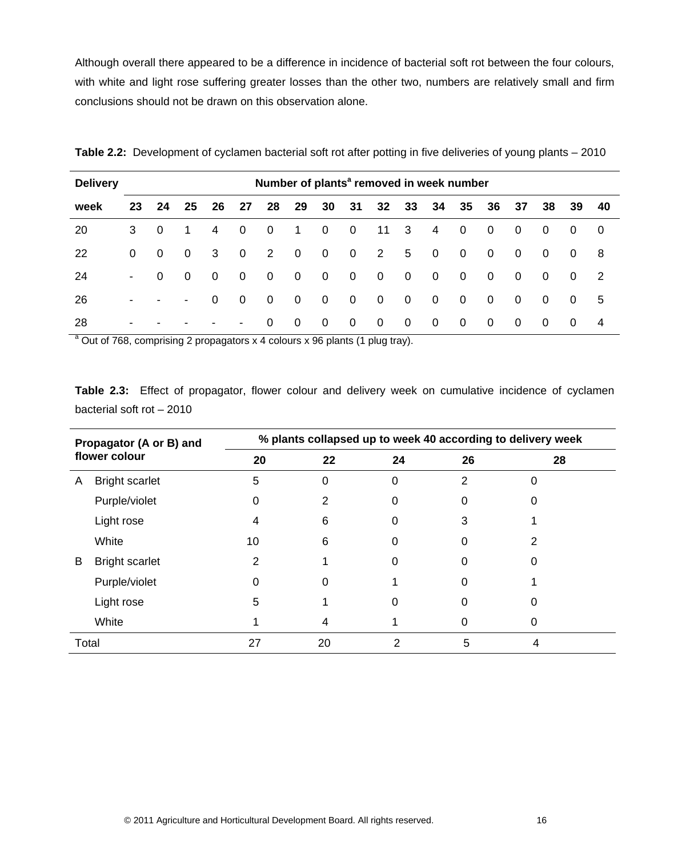Although overall there appeared to be a difference in incidence of bacterial soft rot between the four colours, with white and light rose suffering greater losses than the other two, numbers are relatively small and firm conclusions should not be drawn on this observation alone.

| <b>Delivery</b> | Number of plants <sup>a</sup> removed in week number |                |                          |                |                |             |                         |             |                |                |                         |                |                |                         |                |                |                |                |
|-----------------|------------------------------------------------------|----------------|--------------------------|----------------|----------------|-------------|-------------------------|-------------|----------------|----------------|-------------------------|----------------|----------------|-------------------------|----------------|----------------|----------------|----------------|
| week            | 23                                                   | 24             | 25                       | 26             | 27             | 28          | 29                      |             | 30 31          | 32             | 33                      | -34            | 35             | 36                      | 37             | 38             | - 39           | -40            |
| 20              | 3                                                    | $\overline{0}$ | 1                        | $\overline{4}$ | $\mathbf 0$    | $\mathbf 0$ | $\blacksquare$ 1        | $\mathbf 0$ | $\overline{0}$ | 11             | $\overline{\mathbf{3}}$ | $\overline{4}$ | $\mathbf 0$    | $\overline{\mathbf{0}}$ | $\overline{0}$ | $\overline{0}$ | 0              | $\overline{0}$ |
| 22              | $\Omega$                                             | $\overline{0}$ | $\Omega$                 | 3              | $\mathbf 0$    | 2           | $\overline{\mathbf{0}}$ | $\mathbf 0$ | $\overline{0}$ | 2              | 5                       | $\overline{0}$ | $\mathbf 0$    | $\overline{\mathbf{0}}$ | $\overline{0}$ | $\overline{0}$ | $\Omega$       | -8             |
| 24              | $\blacksquare$                                       | $\mathbf{0}$   | $\Omega$                 | $\overline{0}$ | $\mathbf 0$    | $\mathbf 0$ | $\overline{\mathbf{0}}$ | $\mathbf 0$ | $\overline{0}$ | $\mathbf 0$    | $\overline{\mathbf{0}}$ | $\overline{0}$ | $\overline{0}$ | $\overline{\mathbf{0}}$ | $\overline{0}$ | $\overline{0}$ | 0              | $\overline{2}$ |
| 26              | $\overline{\phantom{a}}$                             |                | $\overline{\phantom{a}}$ | $\overline{0}$ | $\mathbf 0$    | $\mathbf 0$ | $\overline{0}$          | $\mathbf 0$ | $\overline{0}$ | $\mathbf 0$    | $\overline{0}$          | $\overline{0}$ | $\overline{0}$ | $\overline{\mathbf{0}}$ | $\overline{0}$ | $\overline{0}$ | $\overline{0}$ | 5              |
| 28              | $\blacksquare$                                       |                |                          |                | $\blacksquare$ | $\Omega$    | $\Omega$                | $\mathbf 0$ | $\overline{0}$ | $\overline{0}$ | $\overline{0}$          | $\Omega$       | $\overline{0}$ | $\overline{\mathbf{0}}$ | $\overline{0}$ | 0              | 0              | 4              |

**Table 2.2:** Development of cyclamen bacterial soft rot after potting in five deliveries of young plants – 2010

 $\frac{a}{a}$  Out of 768, comprising 2 propagators x 4 colours x 96 plants (1 plug tray).

**Table 2.3:** Effect of propagator, flower colour and delivery week on cumulative incidence of cyclamen bacterial soft rot – 2010

| Propagator (A or B) and<br>flower colour |                       | % plants collapsed up to week 40 according to delivery week |    |    |    |    |  |  |  |  |  |
|------------------------------------------|-----------------------|-------------------------------------------------------------|----|----|----|----|--|--|--|--|--|
|                                          |                       | 20                                                          | 22 | 24 | 26 | 28 |  |  |  |  |  |
| A                                        | <b>Bright scarlet</b> | 5                                                           | 0  | 0  | 2  | O  |  |  |  |  |  |
|                                          | Purple/violet         | 0                                                           | 2  | 0  | 0  | 0  |  |  |  |  |  |
|                                          | Light rose            | 4                                                           | 6  | 0  | 3  |    |  |  |  |  |  |
|                                          | White                 | 10                                                          | 6  | 0  | 0  |    |  |  |  |  |  |
| B                                        | <b>Bright scarlet</b> | 2                                                           |    | 0  | O  | O  |  |  |  |  |  |
|                                          | Purple/violet         | 0                                                           | 0  |    | O  |    |  |  |  |  |  |
|                                          | Light rose            | 5                                                           |    | 0  | 0  | 0  |  |  |  |  |  |
|                                          | White                 |                                                             | 4  |    | 0  |    |  |  |  |  |  |
| Total                                    |                       | 27                                                          | 20 | っ  | 5  | 4  |  |  |  |  |  |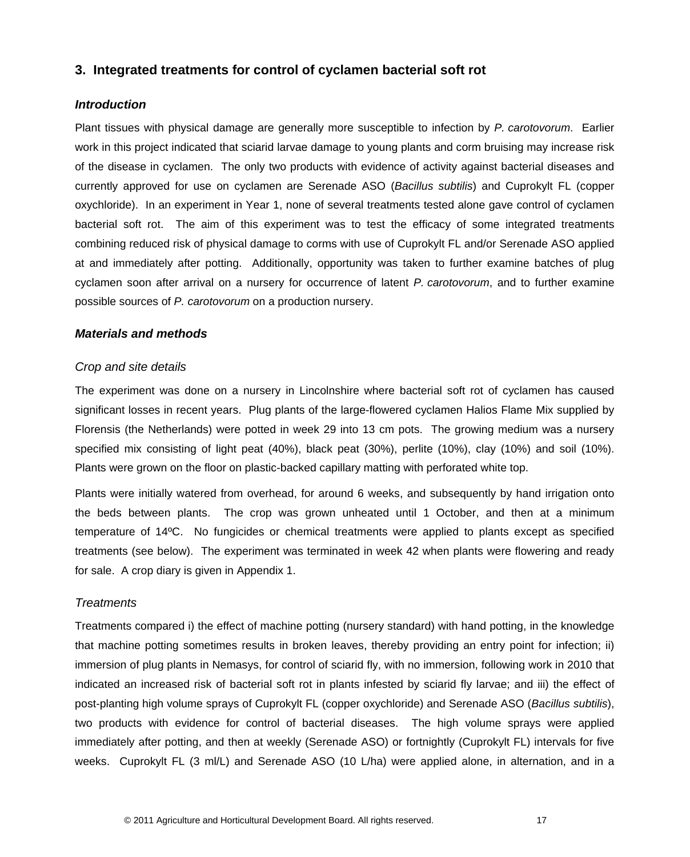## <span id="page-21-0"></span>**3. Integrated treatments for control of cyclamen bacterial soft rot**

#### <span id="page-21-1"></span>*Introduction*

Plant tissues with physical damage are generally more susceptible to infection by *P. carotovorum*. Earlier work in this project indicated that sciarid larvae damage to young plants and corm bruising may increase risk of the disease in cyclamen. The only two products with evidence of activity against bacterial diseases and currently approved for use on cyclamen are Serenade ASO (*Bacillus subtilis*) and Cuprokylt FL (copper oxychloride). In an experiment in Year 1, none of several treatments tested alone gave control of cyclamen bacterial soft rot. The aim of this experiment was to test the efficacy of some integrated treatments combining reduced risk of physical damage to corms with use of Cuprokylt FL and/or Serenade ASO applied at and immediately after potting. Additionally, opportunity was taken to further examine batches of plug cyclamen soon after arrival on a nursery for occurrence of latent *P. carotovorum*, and to further examine possible sources of *P. carotovorum* on a production nursery.

#### <span id="page-21-2"></span>*Materials and methods*

#### *Crop and site details*

The experiment was done on a nursery in Lincolnshire where bacterial soft rot of cyclamen has caused significant losses in recent years. Plug plants of the large-flowered cyclamen Halios Flame Mix supplied by Florensis (the Netherlands) were potted in week 29 into 13 cm pots. The growing medium was a nursery specified mix consisting of light peat (40%), black peat (30%), perlite (10%), clay (10%) and soil (10%). Plants were grown on the floor on plastic-backed capillary matting with perforated white top.

Plants were initially watered from overhead, for around 6 weeks, and subsequently by hand irrigation onto the beds between plants. The crop was grown unheated until 1 October, and then at a minimum temperature of 14ºC. No fungicides or chemical treatments were applied to plants except as specified treatments (see below). The experiment was terminated in week 42 when plants were flowering and ready for sale. A crop diary is given in Appendix 1.

#### *Treatments*

Treatments compared i) the effect of machine potting (nursery standard) with hand potting, in the knowledge that machine potting sometimes results in broken leaves, thereby providing an entry point for infection; ii) immersion of plug plants in Nemasys, for control of sciarid fly, with no immersion, following work in 2010 that indicated an increased risk of bacterial soft rot in plants infested by sciarid fly larvae; and iii) the effect of post-planting high volume sprays of Cuprokylt FL (copper oxychloride) and Serenade ASO (*Bacillus subtilis*), two products with evidence for control of bacterial diseases. The high volume sprays were applied immediately after potting, and then at weekly (Serenade ASO) or fortnightly (Cuprokylt FL) intervals for five weeks. Cuprokylt FL (3 ml/L) and Serenade ASO (10 L/ha) were applied alone, in alternation, and in a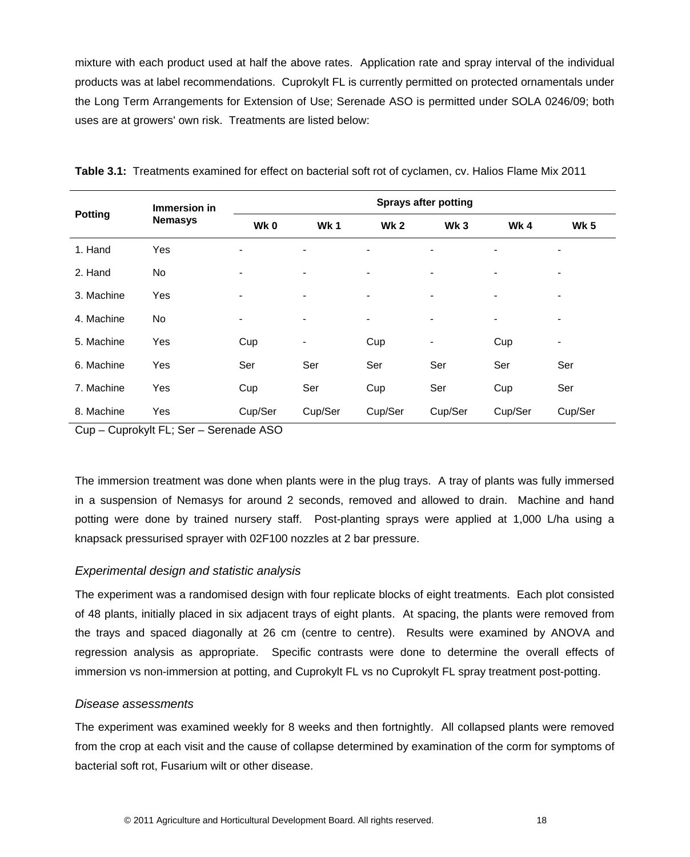mixture with each product used at half the above rates. Application rate and spray interval of the individual products was at label recommendations. Cuprokylt FL is currently permitted on protected ornamentals under the Long Term Arrangements for Extension of Use; Serenade ASO is permitted under SOLA 0246/09; both uses are at growers' own risk. Treatments are listed below:

|                | Immersion in   | <b>Sprays after potting</b> |                |                 |                 |                |             |  |
|----------------|----------------|-----------------------------|----------------|-----------------|-----------------|----------------|-------------|--|
| <b>Potting</b> | <b>Nemasys</b> | Wk0                         | Wk1            | Wk <sub>2</sub> | Wk <sub>3</sub> | Wk4            | <b>Wk 5</b> |  |
| 1. Hand        | Yes            | ٠                           | ۰              | ۰               | ۰               | $\overline{a}$ | ۰           |  |
| 2. Hand        | No             | -                           | ۰              | ۰               | $\blacksquare$  | $\blacksquare$ | ۰           |  |
| 3. Machine     | Yes            | ۰                           |                |                 | $\blacksquare$  |                |             |  |
| 4. Machine     | <b>No</b>      | ٠                           | $\blacksquare$ |                 | ۰               | $\blacksquare$ | ٠           |  |
| 5. Machine     | Yes            | Cup                         | ۰              | Cup             | ۰               | Cup            |             |  |
| 6. Machine     | Yes            | Ser                         | Ser            | Ser             | Ser             | Ser            | Ser         |  |
| 7. Machine     | Yes            | Cup                         | Ser            | Cup             | Ser             | Cup            | Ser         |  |
| 8. Machine     | Yes            | Cup/Ser                     | Cup/Ser        | Cup/Ser         | Cup/Ser         | Cup/Ser        | Cup/Ser     |  |

**Table 3.1:** Treatments examined for effect on bacterial soft rot of cyclamen, cv. Halios Flame Mix 2011

Cup – Cuprokylt FL; Ser – Serenade ASO

The immersion treatment was done when plants were in the plug trays. A tray of plants was fully immersed in a suspension of Nemasys for around 2 seconds, removed and allowed to drain. Machine and hand potting were done by trained nursery staff. Post-planting sprays were applied at 1,000 L/ha using a knapsack pressurised sprayer with 02F100 nozzles at 2 bar pressure.

## *Experimental design and statistic analysis*

The experiment was a randomised design with four replicate blocks of eight treatments. Each plot consisted of 48 plants, initially placed in six adjacent trays of eight plants. At spacing, the plants were removed from the trays and spaced diagonally at 26 cm (centre to centre). Results were examined by ANOVA and regression analysis as appropriate. Specific contrasts were done to determine the overall effects of immersion vs non-immersion at potting, and Cuprokylt FL vs no Cuprokylt FL spray treatment post-potting.

#### *Disease assessments*

The experiment was examined weekly for 8 weeks and then fortnightly. All collapsed plants were removed from the crop at each visit and the cause of collapse determined by examination of the corm for symptoms of bacterial soft rot, Fusarium wilt or other disease.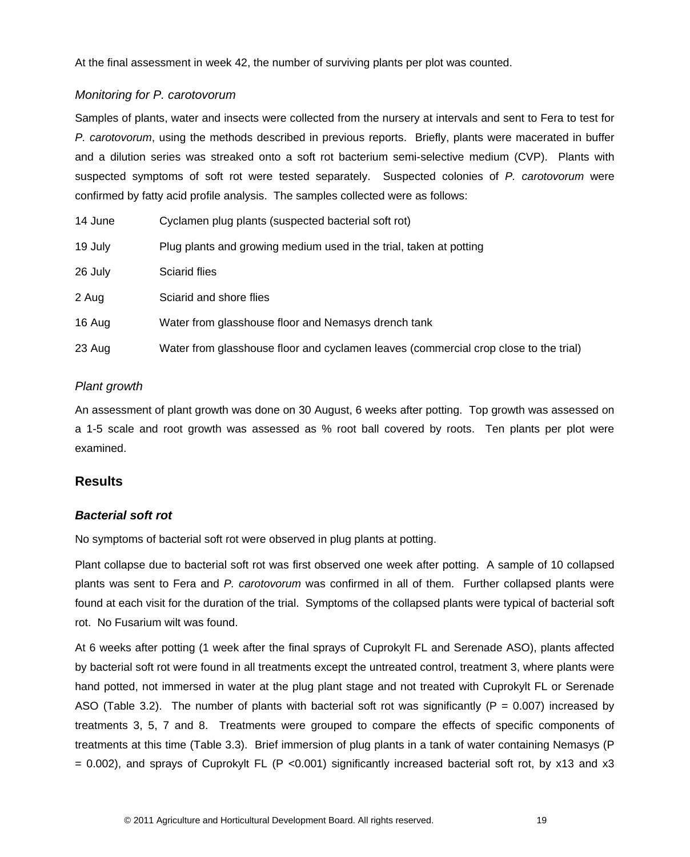At the final assessment in week 42, the number of surviving plants per plot was counted.

## *Monitoring for P. carotovorum*

Samples of plants, water and insects were collected from the nursery at intervals and sent to Fera to test for *P. carotovorum*, using the methods described in previous reports. Briefly, plants were macerated in buffer and a dilution series was streaked onto a soft rot bacterium semi-selective medium (CVP). Plants with suspected symptoms of soft rot were tested separately. Suspected colonies of *P. carotovorum* were confirmed by fatty acid profile analysis. The samples collected were as follows:

| 14 June | Cyclamen plug plants (suspected bacterial soft rot)                                  |
|---------|--------------------------------------------------------------------------------------|
| 19 July | Plug plants and growing medium used in the trial, taken at potting                   |
| 26 July | <b>Sciarid flies</b>                                                                 |
| 2 Aug   | Sciarid and shore flies                                                              |
| 16 Aug  | Water from glasshouse floor and Nemasys drench tank                                  |
| 23 Aug  | Water from glasshouse floor and cyclamen leaves (commercial crop close to the trial) |

## *Plant growth*

An assessment of plant growth was done on 30 August, 6 weeks after potting. Top growth was assessed on a 1-5 scale and root growth was assessed as % root ball covered by roots. Ten plants per plot were examined.

## <span id="page-23-0"></span>**Results**

## *Bacterial soft rot*

No symptoms of bacterial soft rot were observed in plug plants at potting.

Plant collapse due to bacterial soft rot was first observed one week after potting. A sample of 10 collapsed plants was sent to Fera and *P. carotovorum* was confirmed in all of them. Further collapsed plants were found at each visit for the duration of the trial. Symptoms of the collapsed plants were typical of bacterial soft rot. No Fusarium wilt was found.

At 6 weeks after potting (1 week after the final sprays of Cuprokylt FL and Serenade ASO), plants affected by bacterial soft rot were found in all treatments except the untreated control, treatment 3, where plants were hand potted, not immersed in water at the plug plant stage and not treated with Cuprokylt FL or Serenade ASO (Table 3.2). The number of plants with bacterial soft rot was significantly (P =  $0.007$ ) increased by treatments 3, 5, 7 and 8. Treatments were grouped to compare the effects of specific components of treatments at this time (Table 3.3). Brief immersion of plug plants in a tank of water containing Nemasys (P  $= 0.002$ ), and sprays of Cuprokylt FL (P < 0.001) significantly increased bacterial soft rot, by x13 and x3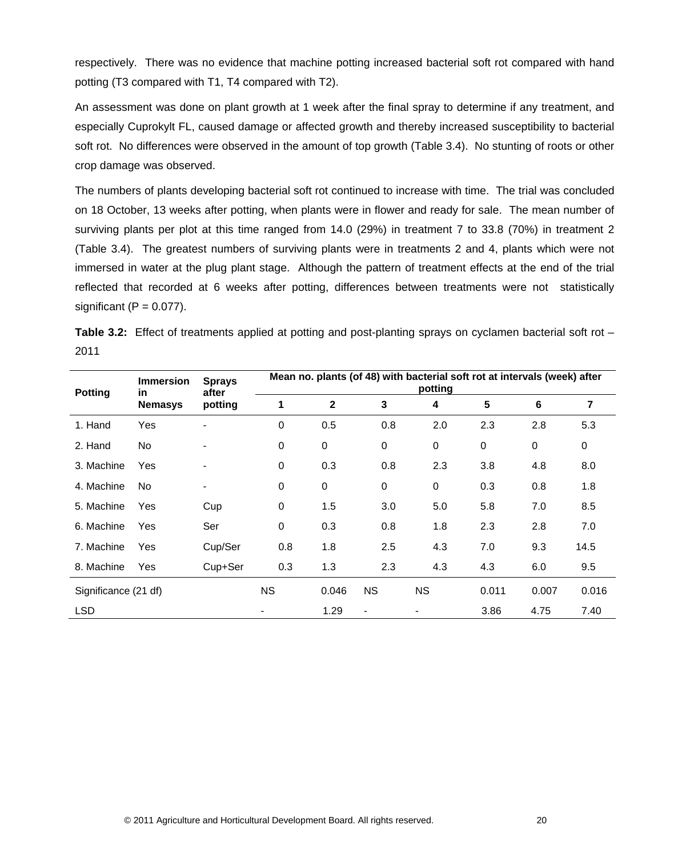respectively. There was no evidence that machine potting increased bacterial soft rot compared with hand potting (T3 compared with T1, T4 compared with T2).

An assessment was done on plant growth at 1 week after the final spray to determine if any treatment, and especially Cuprokylt FL, caused damage or affected growth and thereby increased susceptibility to bacterial soft rot. No differences were observed in the amount of top growth (Table 3.4). No stunting of roots or other crop damage was observed.

The numbers of plants developing bacterial soft rot continued to increase with time. The trial was concluded on 18 October, 13 weeks after potting, when plants were in flower and ready for sale. The mean number of surviving plants per plot at this time ranged from 14.0 (29%) in treatment 7 to 33.8 (70%) in treatment 2 (Table 3.4). The greatest numbers of surviving plants were in treatments 2 and 4, plants which were not immersed in water at the plug plant stage. Although the pattern of treatment effects at the end of the trial reflected that recorded at 6 weeks after potting, differences between treatments were not statistically significant  $(P = 0.077)$ .

| <b>Potting</b>       | <b>Immersion</b> | <b>in</b>                | <b>Sprays</b><br>after | Mean no. plants (of 48) with bacterial soft rot at intervals (week) after<br>potting |                |           |             |                |             |  |
|----------------------|------------------|--------------------------|------------------------|--------------------------------------------------------------------------------------|----------------|-----------|-------------|----------------|-------------|--|
|                      | <b>Nemasys</b>   | potting                  | 1                      | $\mathbf{2}$                                                                         | 3              | 4         | 5           | $6\phantom{1}$ | 7           |  |
| 1. Hand              | Yes              | ۰                        | $\mathbf 0$            | 0.5                                                                                  | 0.8            | 2.0       | 2.3         | 2.8            | 5.3         |  |
| 2. Hand              | No               | ۰                        | 0                      | 0                                                                                    | $\Omega$       | 0         | $\mathbf 0$ | $\mathbf 0$    | $\mathbf 0$ |  |
| 3. Machine           | Yes              | ۰                        | 0                      | 0.3                                                                                  | 0.8            | 2.3       | 3.8         | 4.8            | 8.0         |  |
| 4. Machine           | No.              | $\overline{\phantom{a}}$ | 0                      | 0                                                                                    | 0              | 0         | 0.3         | 0.8            | 1.8         |  |
| 5. Machine           | Yes              | Cup                      | 0                      | 1.5                                                                                  | 3.0            | 5.0       | 5.8         | 7.0            | 8.5         |  |
| 6. Machine           | Yes              | Ser                      | 0                      | 0.3                                                                                  | 0.8            | 1.8       | 2.3         | 2.8            | 7.0         |  |
| 7. Machine           | Yes              | Cup/Ser                  | 0.8                    | 1.8                                                                                  | 2.5            | 4.3       | 7.0         | 9.3            | 14.5        |  |
| 8. Machine           | Yes              | Cup+Ser                  | 0.3                    | 1.3                                                                                  | 2.3            | 4.3       | 4.3         | 6.0            | 9.5         |  |
| Significance (21 df) |                  |                          | <b>NS</b>              | 0.046                                                                                | <b>NS</b>      | <b>NS</b> | 0.011       | 0.007          | 0.016       |  |
| LSD                  |                  |                          |                        | 1.29                                                                                 | $\blacksquare$ | ۰         | 3.86        | 4.75           | 7.40        |  |

**Table 3.2:** Effect of treatments applied at potting and post-planting sprays on cyclamen bacterial soft rot – 2011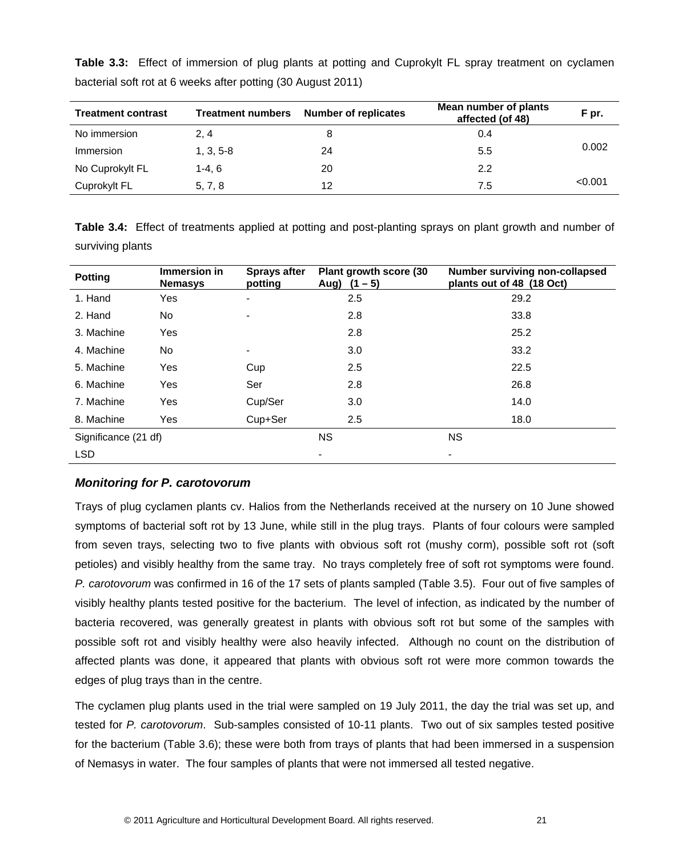| <b>Treatment contrast</b> | <b>Treatment numbers</b> | <b>Number of replicates</b> | Mean number of plants<br>affected (of 48) | F pr.   |
|---------------------------|--------------------------|-----------------------------|-------------------------------------------|---------|
| No immersion              | 2, 4                     |                             | 0.4                                       |         |
| Immersion                 | $1, 3, 5-8$              | 24                          | 5.5                                       | 0.002   |
| No Cuprokylt FL           | $1-4, 6$                 | 20                          | 2.2                                       |         |
| Cuprokylt FL              | 5, 7, 8                  | 12                          | 7.5                                       | < 0.001 |

**Table 3.3:** Effect of immersion of plug plants at potting and Cuprokylt FL spray treatment on cyclamen bacterial soft rot at 6 weeks after potting (30 August 2011)

**Table 3.4:** Effect of treatments applied at potting and post-planting sprays on plant growth and number of surviving plants

| <b>Potting</b>       | Immersion in<br><b>Nemasys</b> | <b>Sprays after</b><br>potting | Plant growth score (30<br>Aug) $(1 - 5)$ | Number surviving non-collapsed<br>plants out of 48 (18 Oct) |
|----------------------|--------------------------------|--------------------------------|------------------------------------------|-------------------------------------------------------------|
| 1. Hand              | Yes                            | ۰                              | 2.5                                      | 29.2                                                        |
| 2. Hand              | No.                            |                                | 2.8                                      | 33.8                                                        |
| 3. Machine           | Yes                            |                                | 2.8                                      | 25.2                                                        |
| 4. Machine           | No                             | ۰                              | 3.0                                      | 33.2                                                        |
| 5. Machine           | Yes                            | Cup                            | 2.5                                      | 22.5                                                        |
| 6. Machine           | Yes                            | Ser                            | 2.8                                      | 26.8                                                        |
| 7. Machine           | Yes                            | Cup/Ser                        | 3.0                                      | 14.0                                                        |
| 8. Machine           | Yes                            | Cup+Ser                        | 2.5                                      | 18.0                                                        |
| Significance (21 df) |                                |                                | <b>NS</b>                                | <b>NS</b>                                                   |
| <b>LSD</b>           |                                |                                | ٠                                        | ۰                                                           |

## *Monitoring for P. carotovorum*

Trays of plug cyclamen plants cv. Halios from the Netherlands received at the nursery on 10 June showed symptoms of bacterial soft rot by 13 June, while still in the plug trays. Plants of four colours were sampled from seven trays, selecting two to five plants with obvious soft rot (mushy corm), possible soft rot (soft petioles) and visibly healthy from the same tray. No trays completely free of soft rot symptoms were found. *P. carotovorum* was confirmed in 16 of the 17 sets of plants sampled (Table 3.5). Four out of five samples of visibly healthy plants tested positive for the bacterium. The level of infection, as indicated by the number of bacteria recovered, was generally greatest in plants with obvious soft rot but some of the samples with possible soft rot and visibly healthy were also heavily infected. Although no count on the distribution of affected plants was done, it appeared that plants with obvious soft rot were more common towards the edges of plug trays than in the centre.

The cyclamen plug plants used in the trial were sampled on 19 July 2011, the day the trial was set up, and tested for *P. carotovorum*. Sub-samples consisted of 10-11 plants. Two out of six samples tested positive for the bacterium (Table 3.6); these were both from trays of plants that had been immersed in a suspension of Nemasys in water. The four samples of plants that were not immersed all tested negative.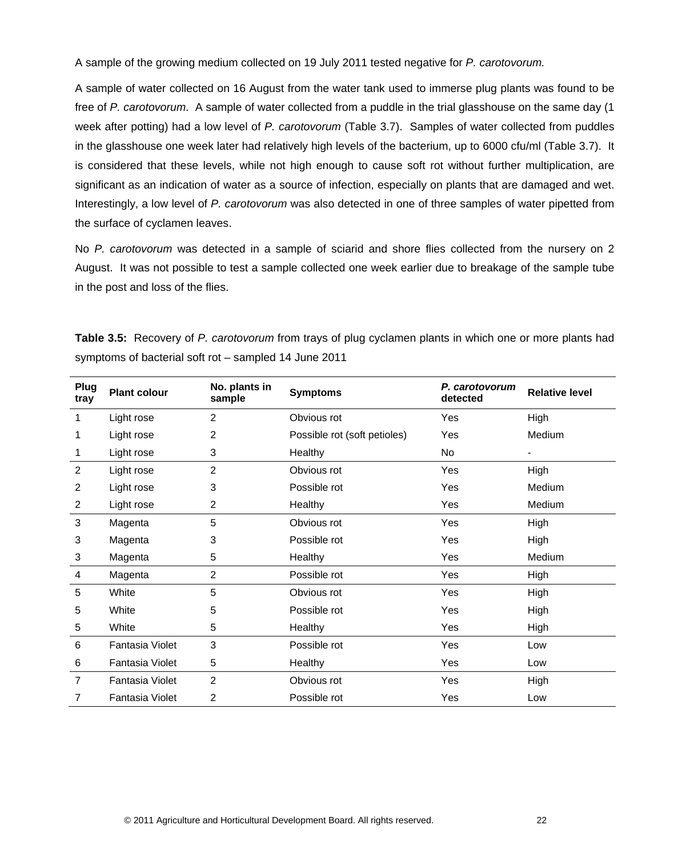A sample of the growing medium collected on 19 July 2011 tested negative for *P. carotovorum.*

A sample of water collected on 16 August from the water tank used to immerse plug plants was found to be free of *P. carotovorum*. A sample of water collected from a puddle in the trial glasshouse on the same day (1 week after potting) had a low level of *P. carotovorum* (Table 3.7). Samples of water collected from puddles in the glasshouse one week later had relatively high levels of the bacterium, up to 6000 cfu/ml (Table 3.7). It is considered that these levels, while not high enough to cause soft rot without further multiplication, are significant as an indication of water as a source of infection, especially on plants that are damaged and wet. Interestingly, a low level of *P. carotovorum* was also detected in one of three samples of water pipetted from the surface of cyclamen leaves.

No *P. carotovorum* was detected in a sample of sciarid and shore flies collected from the nursery on 2 August. It was not possible to test a sample collected one week earlier due to breakage of the sample tube in the post and loss of the flies.

**Table 3.5:** Recovery of *P. carotovorum* from trays of plug cyclamen plants in which one or more plants had symptoms of bacterial soft rot – sampled 14 June 2011

| Plug<br>tray   | <b>Plant colour</b>    | No. plants in<br>sample | <b>Symptoms</b>              | P. carotovorum<br>detected | <b>Relative level</b> |
|----------------|------------------------|-------------------------|------------------------------|----------------------------|-----------------------|
| 1              | Light rose             | $\overline{2}$          | Obvious rot                  | Yes                        | High                  |
| 1              | Light rose             | 2                       | Possible rot (soft petioles) | Yes                        | Medium                |
| 1              | Light rose             | 3                       | Healthy                      | No                         |                       |
| $\overline{2}$ | Light rose             | $\overline{2}$          | Obvious rot                  | Yes                        | High                  |
| 2              | Light rose             | 3                       | Possible rot                 | Yes                        | Medium                |
| $\overline{2}$ | Light rose             | $\overline{2}$          | Healthy                      | Yes                        | Medium                |
| 3              | Magenta                | 5                       | Obvious rot                  | Yes                        | High                  |
| 3              | Magenta                | 3                       | Possible rot                 | Yes                        | High                  |
| 3              | Magenta                | 5                       | Healthy                      | Yes                        | Medium                |
| 4              | Magenta                | $\overline{2}$          | Possible rot                 | Yes                        | High                  |
| 5              | White                  | 5                       | Obvious rot                  | Yes                        | High                  |
| 5              | White                  | 5                       | Possible rot                 | Yes                        | High                  |
| 5              | White                  | 5                       | Healthy                      | Yes                        | High                  |
| 6              | Fantasia Violet        | 3                       | Possible rot                 | Yes                        | Low                   |
| 6              | Fantasia Violet        | 5                       | Healthy                      | Yes                        | Low                   |
| $\overline{7}$ | <b>Fantasia Violet</b> | $\overline{2}$          | Obvious rot                  | Yes                        | High                  |
| 7              | Fantasia Violet        | $\overline{2}$          | Possible rot                 | Yes                        | Low                   |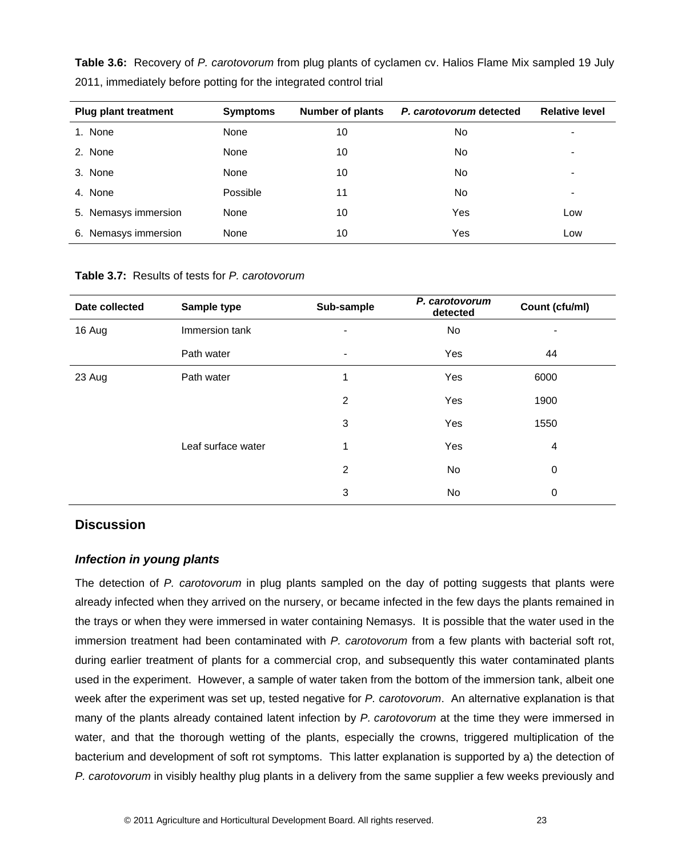| <b>Plug plant treatment</b> | <b>Symptoms</b> | <b>Number of plants</b> | P. carotovorum detected | <b>Relative level</b>    |
|-----------------------------|-----------------|-------------------------|-------------------------|--------------------------|
| 1. None                     | None            | 10                      | No                      | -                        |
| 2. None                     | None            | 10                      | No                      | $\overline{\phantom{0}}$ |
| 3. None                     | None            | 10                      | No                      | $\overline{\phantom{0}}$ |
| 4. None                     | Possible        | 11                      | No                      | ۰                        |
| 5. Nemasys immersion        | None            | 10                      | Yes                     | Low                      |
| 6. Nemasys immersion        | None            | 10                      | Yes                     | Low                      |

**Table 3.6:** Recovery of *P. carotovorum* from plug plants of cyclamen cv. Halios Flame Mix sampled 19 July 2011, immediately before potting for the integrated control trial

**Table 3.7:** Results of tests for *P. carotovorum*

| Date collected | Sample type        | Sub-sample               | P. carotovorum<br>detected | Count (cfu/ml) |
|----------------|--------------------|--------------------------|----------------------------|----------------|
| 16 Aug         | Immersion tank     |                          | <b>No</b>                  | -              |
|                | Path water         | $\overline{\phantom{a}}$ | Yes                        | 44             |
| 23 Aug         | Path water         | 1                        | Yes                        | 6000           |
|                |                    | $\overline{2}$           | Yes                        | 1900           |
|                |                    | 3                        | Yes                        | 1550           |
|                | Leaf surface water | 1                        | Yes                        | 4              |
|                |                    | $\overline{2}$           | No                         | $\mathbf 0$    |
|                |                    | 3                        | No                         | 0              |

## <span id="page-27-0"></span>**Discussion**

## *Infection in young plants*

The detection of *P. carotovorum* in plug plants sampled on the day of potting suggests that plants were already infected when they arrived on the nursery, or became infected in the few days the plants remained in the trays or when they were immersed in water containing Nemasys. It is possible that the water used in the immersion treatment had been contaminated with *P. carotovorum* from a few plants with bacterial soft rot, during earlier treatment of plants for a commercial crop, and subsequently this water contaminated plants used in the experiment. However, a sample of water taken from the bottom of the immersion tank, albeit one week after the experiment was set up, tested negative for *P. carotovorum*. An alternative explanation is that many of the plants already contained latent infection by *P. carotovorum* at the time they were immersed in water, and that the thorough wetting of the plants, especially the crowns, triggered multiplication of the bacterium and development of soft rot symptoms. This latter explanation is supported by a) the detection of *P. carotovorum* in visibly healthy plug plants in a delivery from the same supplier a few weeks previously and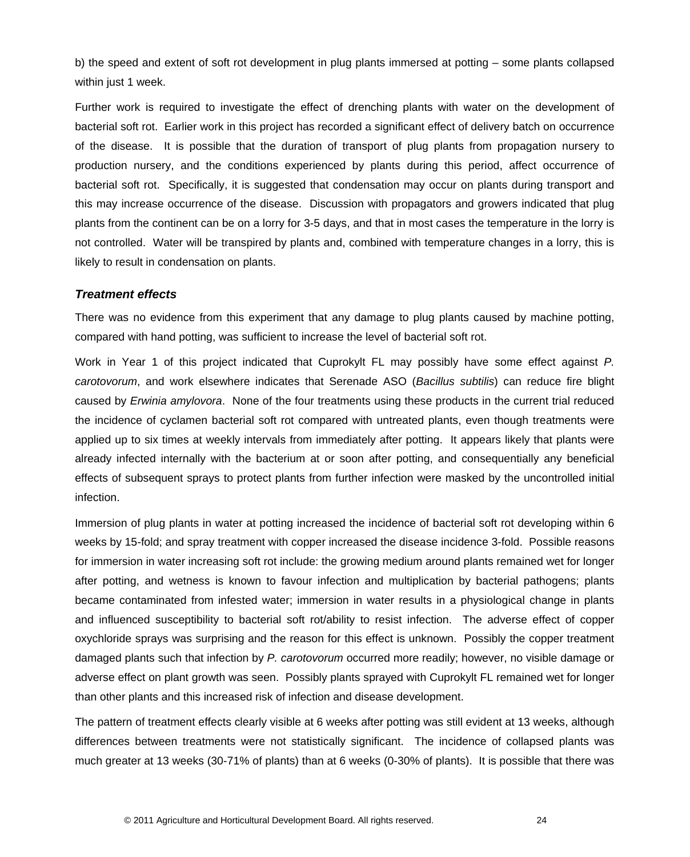b) the speed and extent of soft rot development in plug plants immersed at potting – some plants collapsed within just 1 week.

Further work is required to investigate the effect of drenching plants with water on the development of bacterial soft rot. Earlier work in this project has recorded a significant effect of delivery batch on occurrence of the disease. It is possible that the duration of transport of plug plants from propagation nursery to production nursery, and the conditions experienced by plants during this period, affect occurrence of bacterial soft rot. Specifically, it is suggested that condensation may occur on plants during transport and this may increase occurrence of the disease. Discussion with propagators and growers indicated that plug plants from the continent can be on a lorry for 3-5 days, and that in most cases the temperature in the lorry is not controlled. Water will be transpired by plants and, combined with temperature changes in a lorry, this is likely to result in condensation on plants.

#### *Treatment effects*

There was no evidence from this experiment that any damage to plug plants caused by machine potting, compared with hand potting, was sufficient to increase the level of bacterial soft rot.

Work in Year 1 of this project indicated that Cuprokylt FL may possibly have some effect against *P. carotovorum*, and work elsewhere indicates that Serenade ASO (*Bacillus subtilis*) can reduce fire blight caused by *Erwinia amylovora*. None of the four treatments using these products in the current trial reduced the incidence of cyclamen bacterial soft rot compared with untreated plants, even though treatments were applied up to six times at weekly intervals from immediately after potting. It appears likely that plants were already infected internally with the bacterium at or soon after potting, and consequentially any beneficial effects of subsequent sprays to protect plants from further infection were masked by the uncontrolled initial infection.

Immersion of plug plants in water at potting increased the incidence of bacterial soft rot developing within 6 weeks by 15-fold; and spray treatment with copper increased the disease incidence 3-fold. Possible reasons for immersion in water increasing soft rot include: the growing medium around plants remained wet for longer after potting, and wetness is known to favour infection and multiplication by bacterial pathogens; plants became contaminated from infested water; immersion in water results in a physiological change in plants and influenced susceptibility to bacterial soft rot/ability to resist infection. The adverse effect of copper oxychloride sprays was surprising and the reason for this effect is unknown. Possibly the copper treatment damaged plants such that infection by *P. carotovorum* occurred more readily; however, no visible damage or adverse effect on plant growth was seen. Possibly plants sprayed with Cuprokylt FL remained wet for longer than other plants and this increased risk of infection and disease development.

The pattern of treatment effects clearly visible at 6 weeks after potting was still evident at 13 weeks, although differences between treatments were not statistically significant. The incidence of collapsed plants was much greater at 13 weeks (30-71% of plants) than at 6 weeks (0-30% of plants). It is possible that there was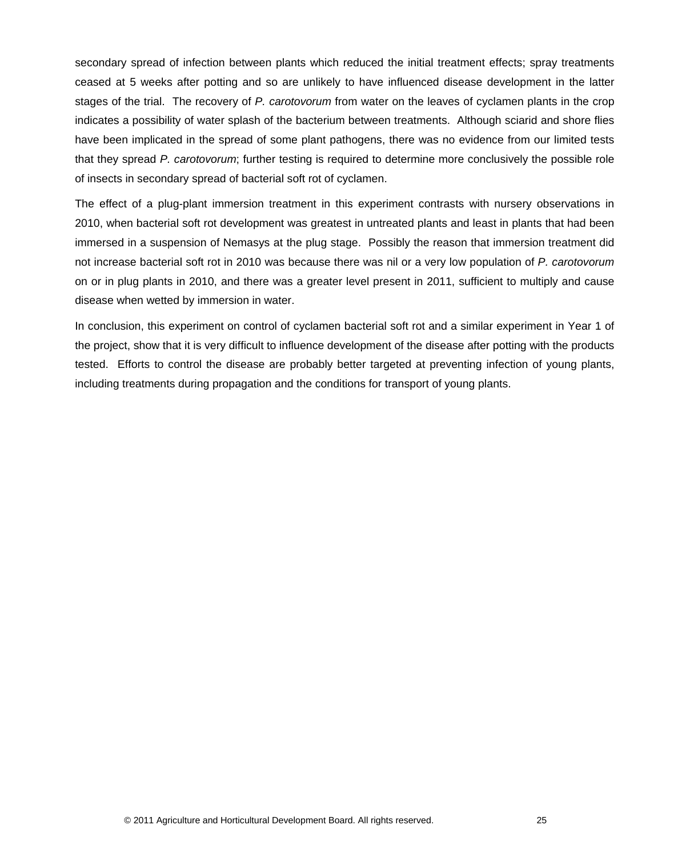secondary spread of infection between plants which reduced the initial treatment effects; spray treatments ceased at 5 weeks after potting and so are unlikely to have influenced disease development in the latter stages of the trial. The recovery of *P. carotovorum* from water on the leaves of cyclamen plants in the crop indicates a possibility of water splash of the bacterium between treatments. Although sciarid and shore flies have been implicated in the spread of some plant pathogens, there was no evidence from our limited tests that they spread *P. carotovorum*; further testing is required to determine more conclusively the possible role of insects in secondary spread of bacterial soft rot of cyclamen.

The effect of a plug-plant immersion treatment in this experiment contrasts with nursery observations in 2010, when bacterial soft rot development was greatest in untreated plants and least in plants that had been immersed in a suspension of Nemasys at the plug stage. Possibly the reason that immersion treatment did not increase bacterial soft rot in 2010 was because there was nil or a very low population of *P. carotovorum* on or in plug plants in 2010, and there was a greater level present in 2011, sufficient to multiply and cause disease when wetted by immersion in water.

In conclusion, this experiment on control of cyclamen bacterial soft rot and a similar experiment in Year 1 of the project, show that it is very difficult to influence development of the disease after potting with the products tested. Efforts to control the disease are probably better targeted at preventing infection of young plants, including treatments during propagation and the conditions for transport of young plants.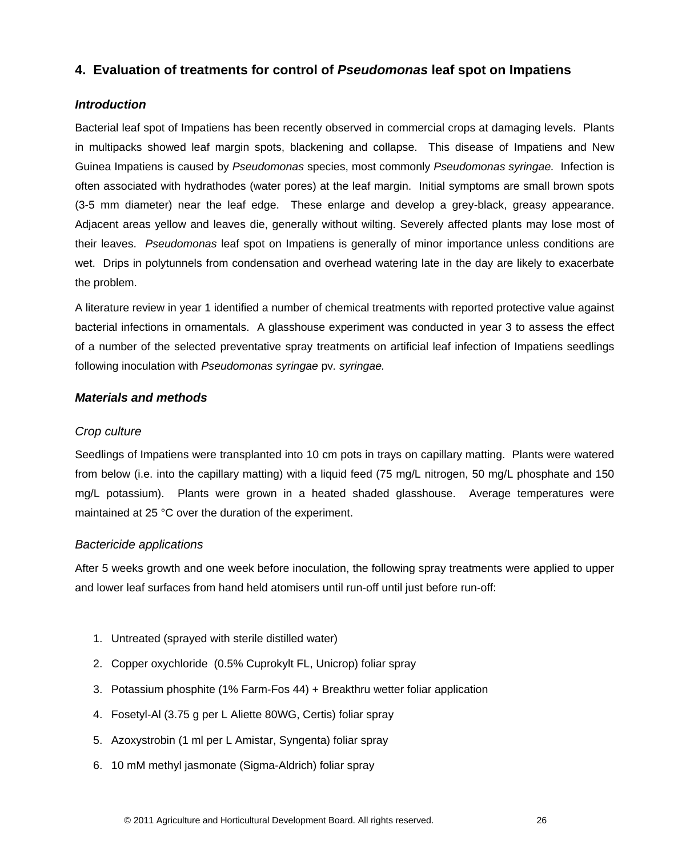# <span id="page-30-0"></span>**4. Evaluation of treatments for control of** *Pseudomonas* **leaf spot on Impatiens**

### <span id="page-30-1"></span>*Introduction*

Bacterial leaf spot of Impatiens has been recently observed in commercial crops at damaging levels. Plants in multipacks showed leaf margin spots, blackening and collapse. This disease of Impatiens and New Guinea Impatiens is caused by *Pseudomonas* species, most commonly *Pseudomonas syringae.* Infection is often associated with hydrathodes (water pores) at the leaf margin. Initial symptoms are small brown spots (3-5 mm diameter) near the leaf edge. These enlarge and develop a grey-black, greasy appearance. Adjacent areas yellow and leaves die, generally without wilting. Severely affected plants may lose most of their leaves. *Pseudomonas* leaf spot on Impatiens is generally of minor importance unless conditions are wet. Drips in polytunnels from condensation and overhead watering late in the day are likely to exacerbate the problem.

A literature review in year 1 identified a number of chemical treatments with reported protective value against bacterial infections in ornamentals. A glasshouse experiment was conducted in year 3 to assess the effect of a number of the selected preventative spray treatments on artificial leaf infection of Impatiens seedlings following inoculation with *Pseudomonas syringae* by, *syringae.* 

## <span id="page-30-2"></span>*Materials and methods*

### *Crop culture*

Seedlings of Impatiens were transplanted into 10 cm pots in trays on capillary matting. Plants were watered from below (i.e. into the capillary matting) with a liquid feed (75 mg/L nitrogen, 50 mg/L phosphate and 150 mg/L potassium). Plants were grown in a heated shaded glasshouse. Average temperatures were maintained at 25 °C over the duration of the experiment.

## *Bactericide applications*

After 5 weeks growth and one week before inoculation, the following spray treatments were applied to upper and lower leaf surfaces from hand held atomisers until run-off until just before run-off:

- 1. Untreated (sprayed with sterile distilled water)
- 2. Copper oxychloride (0.5% Cuprokylt FL, Unicrop) foliar spray
- 3. Potassium phosphite (1% Farm-Fos 44) + Breakthru wetter foliar application
- 4. Fosetyl-Al (3.75 g per L Aliette 80WG, Certis) foliar spray
- 5. Azoxystrobin (1 ml per L Amistar, Syngenta) foliar spray
- 6. 10 mM methyl jasmonate (Sigma-Aldrich) foliar spray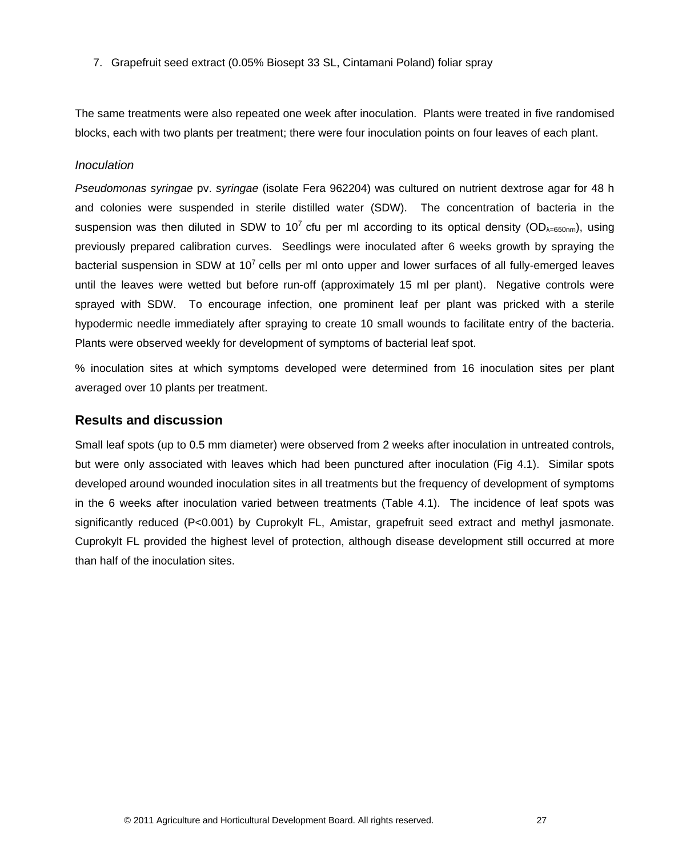7. Grapefruit seed extract (0.05% Biosept 33 SL, Cintamani Poland) foliar spray

The same treatments were also repeated one week after inoculation. Plants were treated in five randomised blocks, each with two plants per treatment; there were four inoculation points on four leaves of each plant.

#### *Inoculation*

*Pseudomonas syringae* pv. *syringae* (isolate Fera 962204) was cultured on nutrient dextrose agar for 48 h and colonies were suspended in sterile distilled water (SDW). The concentration of bacteria in the suspension was then diluted in SDW to 10<sup>7</sup> cfu per ml according to its optical density (OD<sub> $\lambda=650$ nm</sub>), using previously prepared calibration curves. Seedlings were inoculated after 6 weeks growth by spraying the bacterial suspension in SDW at  $10<sup>7</sup>$  cells per ml onto upper and lower surfaces of all fully-emerged leaves until the leaves were wetted but before run-off (approximately 15 ml per plant). Negative controls were sprayed with SDW. To encourage infection, one prominent leaf per plant was pricked with a sterile hypodermic needle immediately after spraying to create 10 small wounds to facilitate entry of the bacteria. Plants were observed weekly for development of symptoms of bacterial leaf spot.

% inoculation sites at which symptoms developed were determined from 16 inoculation sites per plant averaged over 10 plants per treatment.

## <span id="page-31-0"></span>**Results and discussion**

Small leaf spots (up to 0.5 mm diameter) were observed from 2 weeks after inoculation in untreated controls, but were only associated with leaves which had been punctured after inoculation (Fig 4.1). Similar spots developed around wounded inoculation sites in all treatments but the frequency of development of symptoms in the 6 weeks after inoculation varied between treatments (Table 4.1). The incidence of leaf spots was significantly reduced (P<0.001) by Cuprokylt FL, Amistar, grapefruit seed extract and methyl jasmonate. Cuprokylt FL provided the highest level of protection, although disease development still occurred at more than half of the inoculation sites.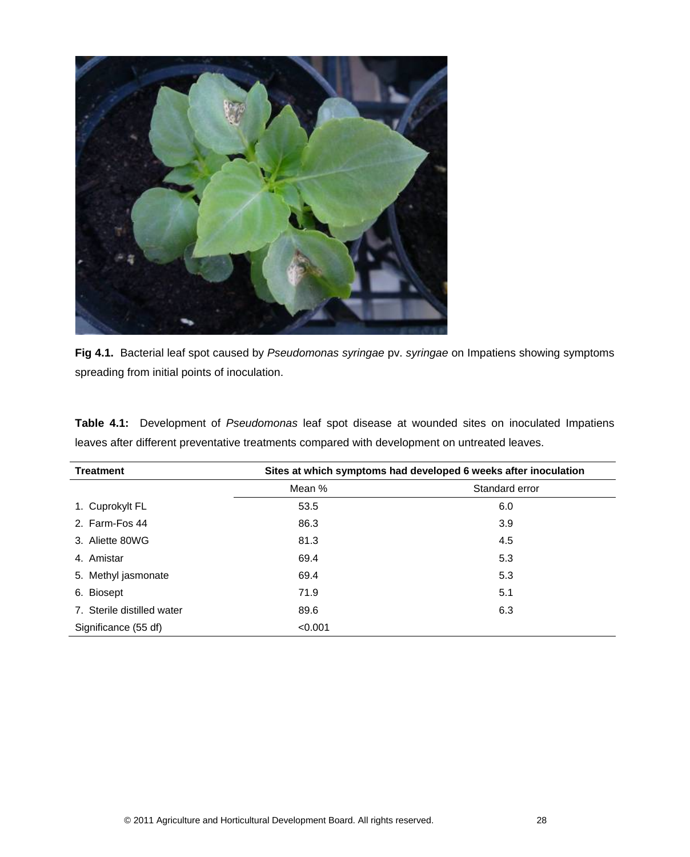

**Fig 4.1.** Bacterial leaf spot caused by *Pseudomonas syringae* pv. *syringae* on Impatiens showing symptoms spreading from initial points of inoculation.

<span id="page-32-0"></span>

| <b>Treatment</b>           |         | Sites at which symptoms had developed 6 weeks after inoculation |
|----------------------------|---------|-----------------------------------------------------------------|
|                            | Mean %  | Standard error                                                  |
| 1. Cuprokylt FL            | 53.5    | 6.0                                                             |
| 2. Farm-Fos 44             | 86.3    | 3.9                                                             |
| 3. Aliette 80WG            | 81.3    | 4.5                                                             |
| 4. Amistar                 | 69.4    | 5.3                                                             |
| 5. Methyl jasmonate        | 69.4    | 5.3                                                             |
| 6. Biosept                 | 71.9    | 5.1                                                             |
| 7. Sterile distilled water | 89.6    | 6.3                                                             |
| Significance (55 df)       | < 0.001 |                                                                 |

**Table 4.1:** Development of *Pseudomonas* leaf spot disease at wounded sites on inoculated Impatiens leaves after different preventative treatments compared with development on untreated leaves.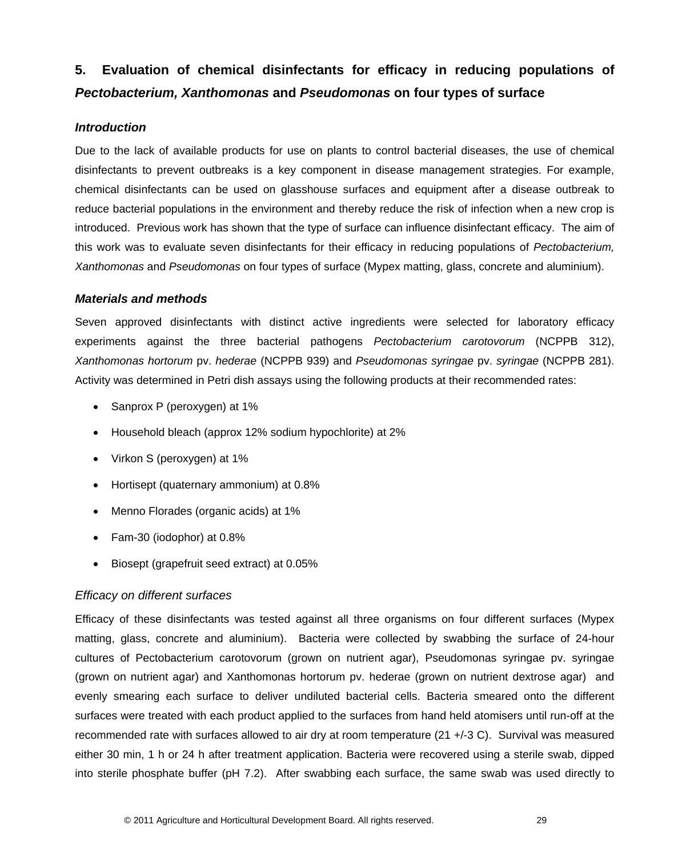# **5. Evaluation of chemical disinfectants for efficacy in reducing populations of**  *Pectobacterium, Xanthomonas* **and** *Pseudomonas* **on four types of surface**

## <span id="page-33-0"></span>*Introduction*

Due to the lack of available products for use on plants to control bacterial diseases, the use of chemical disinfectants to prevent outbreaks is a key component in disease management strategies. For example, chemical disinfectants can be used on glasshouse surfaces and equipment after a disease outbreak to reduce bacterial populations in the environment and thereby reduce the risk of infection when a new crop is introduced. Previous work has shown that the type of surface can influence disinfectant efficacy. The aim of this work was to evaluate seven disinfectants for their efficacy in reducing populations of *Pectobacterium, Xanthomonas* and *Pseudomonas* on four types of surface (Mypex matting, glass, concrete and aluminium).

## <span id="page-33-1"></span>*Materials and methods*

Seven approved disinfectants with distinct active ingredients were selected for laboratory efficacy experiments against the three bacterial pathogens *Pectobacterium carotovorum* (NCPPB 312), *Xanthomonas hortorum* pv. *hederae* (NCPPB 939) and *Pseudomonas syringae* pv. *syringae* (NCPPB 281). Activity was determined in Petri dish assays using the following products at their recommended rates:

- Sanprox P (peroxygen) at 1%
- Household bleach (approx 12% sodium hypochlorite) at 2%
- Virkon S (peroxygen) at 1%
- Hortisept (quaternary ammonium) at 0.8%
- Menno Florades (organic acids) at 1%
- Fam-30 (iodophor) at 0.8%
- Biosept (grapefruit seed extract) at 0.05%

## *Efficacy on different surfaces*

Efficacy of these disinfectants was tested against all three organisms on four different surfaces (Mypex matting, glass, concrete and aluminium). Bacteria were collected by swabbing the surface of 24-hour cultures of Pectobacterium carotovorum (grown on nutrient agar), Pseudomonas syringae pv. syringae (grown on nutrient agar) and Xanthomonas hortorum pv. hederae (grown on nutrient dextrose agar) and evenly smearing each surface to deliver undiluted bacterial cells. Bacteria smeared onto the different surfaces were treated with each product applied to the surfaces from hand held atomisers until run-off at the recommended rate with surfaces allowed to air dry at room temperature (21 +/-3 C). Survival was measured either 30 min, 1 h or 24 h after treatment application. Bacteria were recovered using a sterile swab, dipped into sterile phosphate buffer (pH 7.2). After swabbing each surface, the same swab was used directly to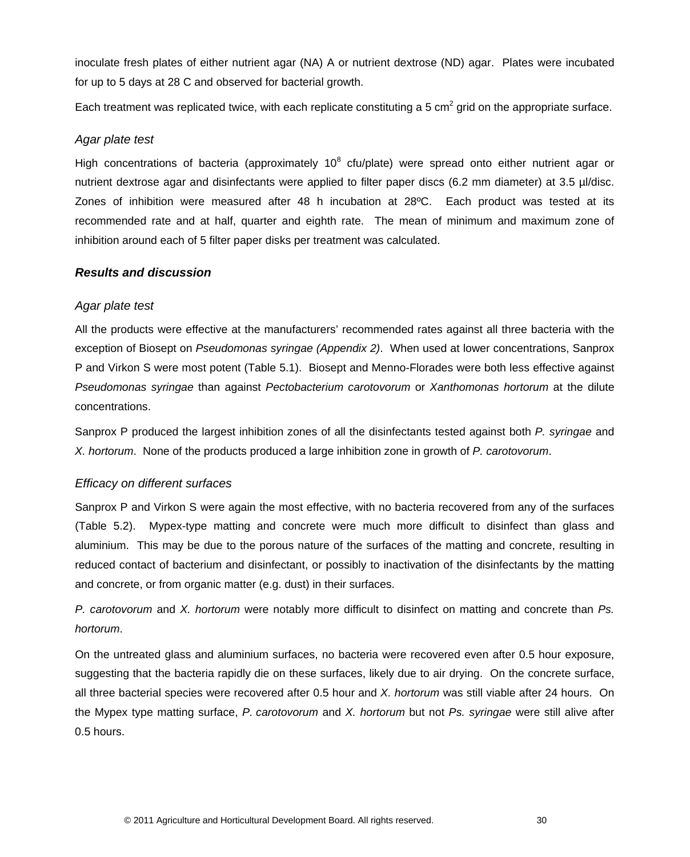inoculate fresh plates of either nutrient agar (NA) A or nutrient dextrose (ND) agar. Plates were incubated for up to 5 days at 28 C and observed for bacterial growth.

Each treatment was replicated twice, with each replicate constituting a 5 cm<sup>2</sup> grid on the appropriate surface.

## *Agar plate test*

High concentrations of bacteria (approximately 10<sup>8</sup> cfu/plate) were spread onto either nutrient agar or nutrient dextrose agar and disinfectants were applied to filter paper discs (6.2 mm diameter) at 3.5 µl/disc. Zones of inhibition were measured after 48 h incubation at 28ºC. Each product was tested at its recommended rate and at half, quarter and eighth rate. The mean of minimum and maximum zone of inhibition around each of 5 filter paper disks per treatment was calculated.

## <span id="page-34-0"></span>*Results and discussion*

## *Agar plate test*

All the products were effective at the manufacturers' recommended rates against all three bacteria with the exception of Biosept on *Pseudomonas syringae (Appendix 2)*. When used at lower concentrations, Sanprox P and Virkon S were most potent (Table 5.1). Biosept and Menno-Florades were both less effective against *Pseudomonas syringae* than against *Pectobacterium carotovorum* or *Xanthomonas hortorum* at the dilute concentrations.

Sanprox P produced the largest inhibition zones of all the disinfectants tested against both *P. syringae* and *X. hortorum*. None of the products produced a large inhibition zone in growth of *P. carotovorum*.

## *Efficacy on different surfaces*

Sanprox P and Virkon S were again the most effective, with no bacteria recovered from any of the surfaces (Table 5.2). Mypex-type matting and concrete were much more difficult to disinfect than glass and aluminium. This may be due to the porous nature of the surfaces of the matting and concrete, resulting in reduced contact of bacterium and disinfectant, or possibly to inactivation of the disinfectants by the matting and concrete, or from organic matter (e.g. dust) in their surfaces.

*P. carotovorum* and *X. hortorum* were notably more difficult to disinfect on matting and concrete than *Ps. hortorum*.

On the untreated glass and aluminium surfaces, no bacteria were recovered even after 0.5 hour exposure, suggesting that the bacteria rapidly die on these surfaces, likely due to air drying. On the concrete surface, all three bacterial species were recovered after 0.5 hour and *X. hortorum* was still viable after 24 hours. On the Mypex type matting surface, *P. carotovorum* and *X. hortorum* but not *Ps. syringae* were still alive after 0.5 hours.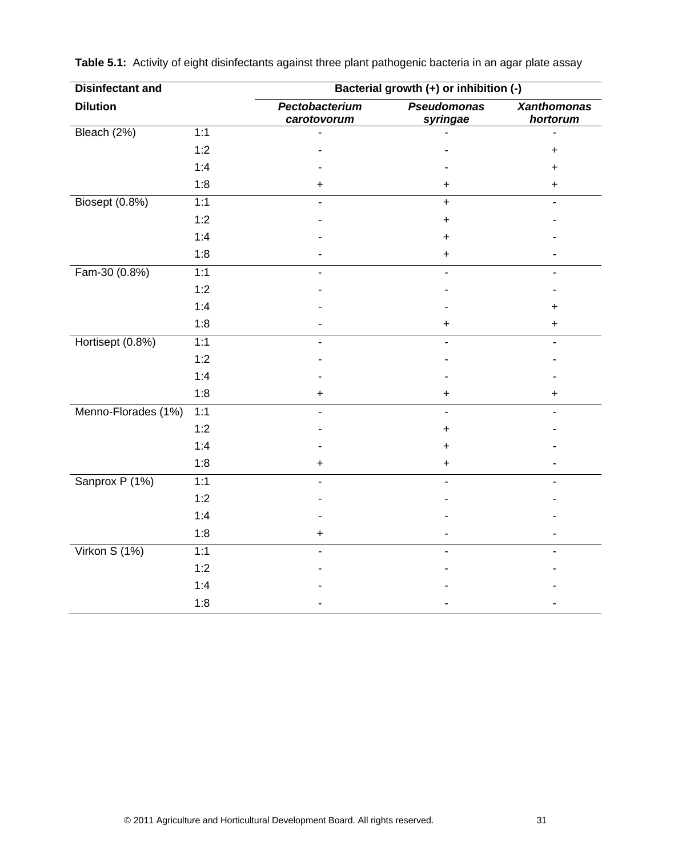| <b>Disinfectant and</b> |     |                               | Bacterial growth (+) or inhibition (-) |                                |  |  |  |
|-------------------------|-----|-------------------------------|----------------------------------------|--------------------------------|--|--|--|
| <b>Dilution</b>         |     | Pectobacterium<br>carotovorum | <b>Pseudomonas</b><br>syringae         | <b>Xanthomonas</b><br>hortorum |  |  |  |
| Bleach (2%)             | 1:1 |                               |                                        |                                |  |  |  |
|                         | 1:2 |                               |                                        | +                              |  |  |  |
|                         | 1:4 |                               |                                        | +                              |  |  |  |
|                         | 1:8 | +                             | $\ddot{}$                              | $\mathbf +$                    |  |  |  |
| Biosept (0.8%)          | 1:1 |                               | $\ddot{}$                              |                                |  |  |  |
|                         | 1:2 |                               | $\ddot{}$                              |                                |  |  |  |
|                         | 1:4 |                               | $\pm$                                  |                                |  |  |  |
|                         | 1:8 |                               | $\ddot{}$                              |                                |  |  |  |
| Fam-30 (0.8%)           | 1:1 |                               |                                        |                                |  |  |  |
|                         | 1:2 |                               |                                        |                                |  |  |  |
|                         | 1:4 |                               |                                        | +                              |  |  |  |
|                         | 1:8 |                               | $\pm$                                  | $\ddag$                        |  |  |  |
| Hortisept (0.8%)        | 1:1 |                               |                                        |                                |  |  |  |
|                         | 1:2 |                               |                                        |                                |  |  |  |
|                         | 1:4 |                               |                                        |                                |  |  |  |
|                         | 1:8 | +                             | $\ddot{}$                              | $\mathbf +$                    |  |  |  |
| Menno-Florades (1%)     | 1:1 |                               |                                        |                                |  |  |  |
|                         | 1:2 |                               | +                                      |                                |  |  |  |
|                         | 1:4 |                               | +                                      |                                |  |  |  |
|                         | 1:8 | +                             | $\pm$                                  |                                |  |  |  |
| Sanprox P (1%)          | 1:1 |                               |                                        |                                |  |  |  |
|                         | 1:2 |                               |                                        |                                |  |  |  |
|                         | 1:4 |                               |                                        |                                |  |  |  |
|                         | 1:8 |                               |                                        |                                |  |  |  |
| Virkon S (1%)           | 1:1 |                               |                                        |                                |  |  |  |
|                         | 1:2 |                               |                                        |                                |  |  |  |
|                         | 1:4 |                               |                                        |                                |  |  |  |
|                         | 1:8 |                               |                                        |                                |  |  |  |

**Table 5.1:** Activity of eight disinfectants against three plant pathogenic bacteria in an agar plate assay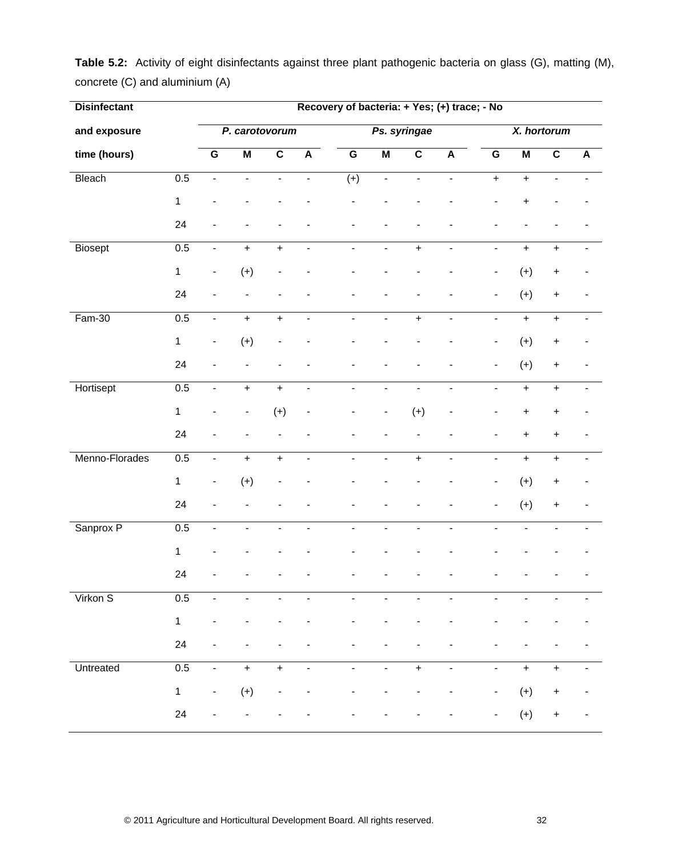| <b>Disinfectant</b> |              |                              |                         |                              | Recovery of bacteria: + Yes; (+) trace; - No |                          |                              |                         |                              |                          |                          |                                  |                          |
|---------------------|--------------|------------------------------|-------------------------|------------------------------|----------------------------------------------|--------------------------|------------------------------|-------------------------|------------------------------|--------------------------|--------------------------|----------------------------------|--------------------------|
| and exposure        |              | P. carotovorum               |                         |                              | Ps. syringae                                 |                          |                              |                         | X. hortorum                  |                          |                          |                                  |                          |
| time (hours)        |              | $\overline{G}$               | $\overline{\mathsf{M}}$ | $\overline{\mathbf{c}}$      | $\overline{A}$                               | $\overline{G}$           | $\overline{\mathsf{M}}$      | $\overline{\mathbf{c}}$ | $\overline{A}$               | $\overline{G}$           | $\overline{\mathsf{M}}$  | $\overline{\mathbf{c}}$          | $\overline{A}$           |
| Bleach              | 0.5          | $\overline{\phantom{a}}$     | ÷,                      | $\blacksquare$               | $\blacksquare$                               | $(+)$                    | $\overline{\phantom{a}}$     | $\blacksquare$          | $\overline{\phantom{a}}$     | $+$                      | $\ddot{}$                | $\overline{\phantom{a}}$         |                          |
|                     | $\mathbf{1}$ |                              |                         |                              |                                              |                          |                              |                         |                              |                          | $\ddot{}$                |                                  |                          |
|                     | 24           |                              |                         |                              |                                              |                          |                              |                         |                              |                          |                          |                                  |                          |
| <b>Biosept</b>      | 0.5          | $\blacksquare$               | $+$                     | $\ddot{}$                    | $\blacksquare$                               | $\blacksquare$           | $\blacksquare$               | $\ddot{}$               | $\blacksquare$               | $\blacksquare$           | $\ddot{}$                | $\ddot{}$                        | $\blacksquare$           |
|                     | $\mathbf{1}$ | $\qquad \qquad \blacksquare$ | $(+)$                   | $\qquad \qquad \blacksquare$ |                                              |                          |                              |                         |                              | -                        | $(+)$                    | $\ddot{}$                        |                          |
|                     | 24           | ۰                            | $\blacksquare$          | $\overline{\phantom{a}}$     |                                              |                          |                              |                         |                              | -                        | $(+)$                    | $\begin{array}{c} + \end{array}$ |                          |
| $Fam-30$            | 0.5          | $\blacksquare$               | $+$                     | $\ddot{}$                    | $\overline{\phantom{a}}$                     | $\blacksquare$           | $\overline{\phantom{0}}$     | $\ddot{}$               | $\overline{\phantom{a}}$     | $\overline{\phantom{0}}$ | $\pmb{+}$                | $\ddot{}$                        |                          |
|                     | $\mathbf{1}$ | $\qquad \qquad \blacksquare$ | $(+)$                   | $\overline{\phantom{m}}$     |                                              |                          |                              |                         |                              | $\blacksquare$           | $(+)$                    | $\ddot{}$                        |                          |
|                     | 24           |                              |                         |                              |                                              |                          |                              |                         |                              | $\overline{\phantom{0}}$ | $(+)$                    | $\begin{array}{c} + \end{array}$ | $\blacksquare$           |
| Hortisept           | 0.5          | $\blacksquare$               | $+$                     | $+$                          | $\blacksquare$                               | $\blacksquare$           | $\blacksquare$               | $\blacksquare$          | $\blacksquare$               | $\blacksquare$           | $\ddot{}$                | $\ddot{}$                        | $\overline{\phantom{a}}$ |
|                     | $\mathbf{1}$ | -                            | ۰                       | $(+)$                        | $\overline{\phantom{a}}$                     |                          | $\overline{\phantom{m}}$     | $(+)$                   | -                            | ۰                        | $\pmb{+}$                | $\ddot{}$                        |                          |
|                     | 24           |                              |                         |                              |                                              |                          |                              |                         |                              | -                        | $\ddot{}$                | $\begin{array}{c} + \end{array}$ |                          |
| Menno-Florades      | 0.5          | $\blacksquare$               | $+$                     | $\ddot{}$                    | $\blacksquare$                               | ÷,                       | ÷,                           | $\ddot{}$               | $\overline{\phantom{a}}$     | ÷,                       | $\ddot{}$                | $\ddot{}$                        |                          |
|                     | $\mathbf{1}$ | $\qquad \qquad \blacksquare$ | $(+)$                   |                              |                                              |                          |                              |                         |                              | $\blacksquare$           | $(+)$                    | $\begin{array}{c} + \end{array}$ |                          |
|                     | 24           |                              |                         |                              |                                              |                          |                              |                         |                              | $\overline{\phantom{a}}$ | $(+)$                    | $\ddot{}$                        |                          |
| Sanprox P           | 0.5          | $\overline{a}$               | ÷                       | $\overline{\phantom{0}}$     | $\overline{\phantom{0}}$                     | $\overline{\phantom{0}}$ | $\qquad \qquad \blacksquare$ | $\blacksquare$          | $\overline{\phantom{0}}$     |                          |                          |                                  |                          |
|                     | $\mathbf{1}$ |                              |                         |                              |                                              |                          |                              |                         |                              |                          |                          |                                  |                          |
|                     | 24           |                              |                         |                              |                                              |                          |                              |                         |                              |                          |                          |                                  |                          |
| Virkon S            | 0.5          | $\blacksquare$               | $\blacksquare$          | $\overline{\phantom{a}}$     | $\overline{\phantom{0}}$                     | $\overline{a}$           | ÷,                           | $\blacksquare$          | $\blacksquare$               | $\overline{a}$           | $\overline{\phantom{a}}$ | ÷,                               |                          |
|                     | $\mathbf{1}$ |                              |                         |                              |                                              |                          |                              |                         |                              |                          |                          |                                  |                          |
|                     | 24           |                              |                         |                              |                                              |                          |                              |                         |                              |                          |                          |                                  |                          |
| Untreated           | 0.5          | $\qquad \qquad \blacksquare$ | $\ddot{}$               | $\ddot{}$                    | $\blacksquare$                               | $\overline{\phantom{0}}$ | $\qquad \qquad \blacksquare$ | $\ddot{}$               | $\qquad \qquad \blacksquare$ | -                        | $\pmb{+}$                | $\ddot{}$                        |                          |
|                     | $\mathbf 1$  | $\qquad \qquad \blacksquare$ | $(+)$                   |                              |                                              |                          |                              |                         |                              | -                        | $(+)$                    | $\ddot{}$                        |                          |
|                     | 24           |                              |                         |                              |                                              |                          |                              |                         |                              |                          | $(+)$                    | $\ddot{}$                        |                          |
|                     |              |                              |                         |                              |                                              |                          |                              |                         |                              |                          |                          |                                  |                          |

**Table 5.2:** Activity of eight disinfectants against three plant pathogenic bacteria on glass (G), matting (M), concrete (C) and aluminium (A)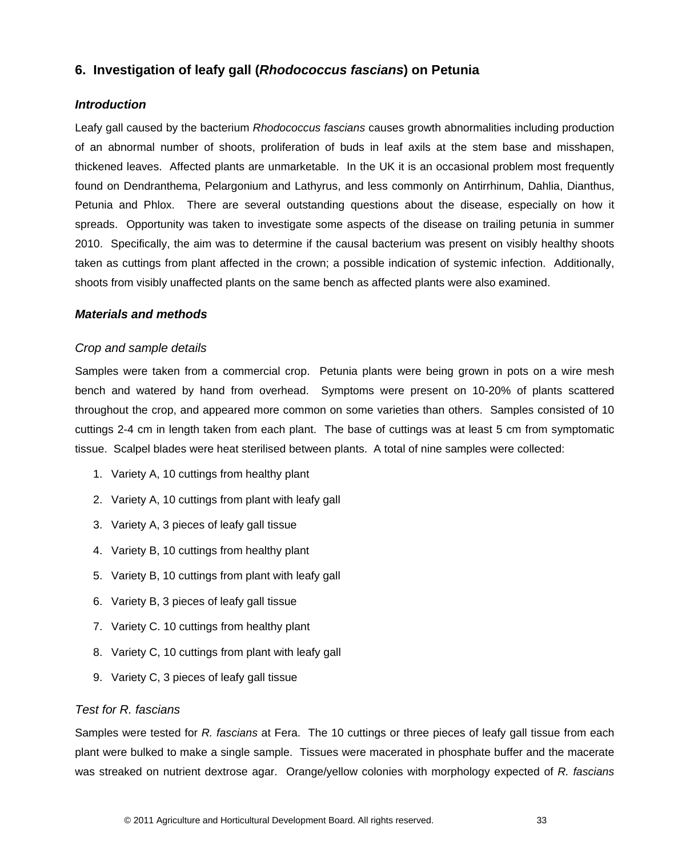# <span id="page-37-0"></span>**6. Investigation of leafy gall (***Rhodococcus fascians***) on Petunia**

## <span id="page-37-1"></span>*Introduction*

Leafy gall caused by the bacterium *Rhodococcus fascians* causes growth abnormalities including production of an abnormal number of shoots, proliferation of buds in leaf axils at the stem base and misshapen, thickened leaves. Affected plants are unmarketable. In the UK it is an occasional problem most frequently found on Dendranthema, Pelargonium and Lathyrus, and less commonly on Antirrhinum, Dahlia, Dianthus, Petunia and Phlox. There are several outstanding questions about the disease, especially on how it spreads. Opportunity was taken to investigate some aspects of the disease on trailing petunia in summer 2010. Specifically, the aim was to determine if the causal bacterium was present on visibly healthy shoots taken as cuttings from plant affected in the crown; a possible indication of systemic infection. Additionally, shoots from visibly unaffected plants on the same bench as affected plants were also examined.

#### <span id="page-37-2"></span>*Materials and methods*

#### *Crop and sample details*

Samples were taken from a commercial crop. Petunia plants were being grown in pots on a wire mesh bench and watered by hand from overhead. Symptoms were present on 10-20% of plants scattered throughout the crop, and appeared more common on some varieties than others. Samples consisted of 10 cuttings 2-4 cm in length taken from each plant. The base of cuttings was at least 5 cm from symptomatic tissue. Scalpel blades were heat sterilised between plants. A total of nine samples were collected:

- 1. Variety A, 10 cuttings from healthy plant
- 2. Variety A, 10 cuttings from plant with leafy gall
- 3. Variety A, 3 pieces of leafy gall tissue
- 4. Variety B, 10 cuttings from healthy plant
- 5. Variety B, 10 cuttings from plant with leafy gall
- 6. Variety B, 3 pieces of leafy gall tissue
- 7. Variety C. 10 cuttings from healthy plant
- 8. Variety C, 10 cuttings from plant with leafy gall
- 9. Variety C, 3 pieces of leafy gall tissue

#### *Test for R. fascians*

Samples were tested for *R. fascians* at Fera. The 10 cuttings or three pieces of leafy gall tissue from each plant were bulked to make a single sample. Tissues were macerated in phosphate buffer and the macerate was streaked on nutrient dextrose agar. Orange/yellow colonies with morphology expected of *R. fascians*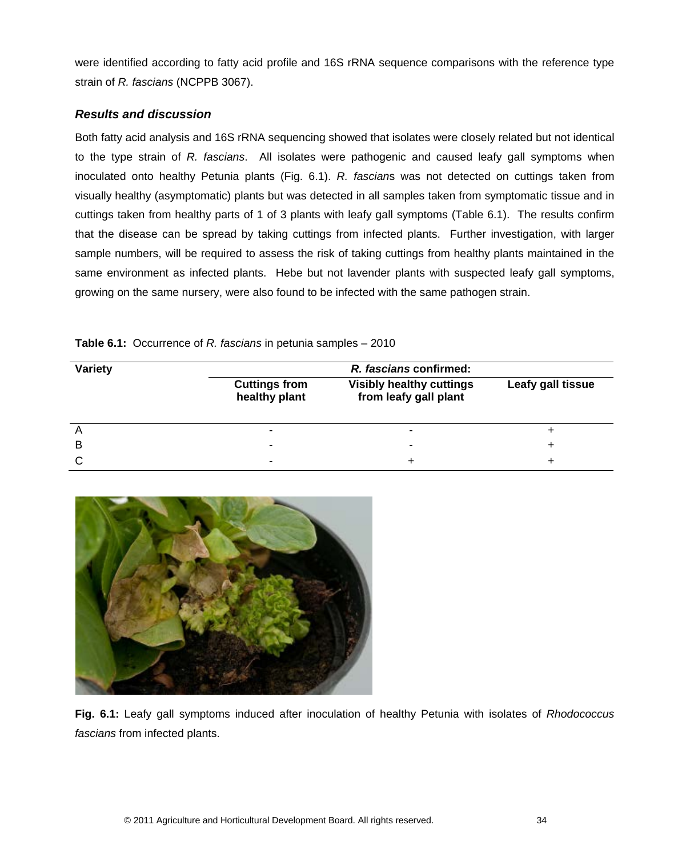were identified according to fatty acid profile and 16S rRNA sequence comparisons with the reference type strain of *R. fascians* (NCPPB 3067).

## <span id="page-38-0"></span>*Results and discussion*

Both fatty acid analysis and 16S rRNA sequencing showed that isolates were closely related but not identical to the type strain of *R. fascians*. All isolates were pathogenic and caused leafy gall symptoms when inoculated onto healthy Petunia plants (Fig. 6.1). *R. fascian*s was not detected on cuttings taken from visually healthy (asymptomatic) plants but was detected in all samples taken from symptomatic tissue and in cuttings taken from healthy parts of 1 of 3 plants with leafy gall symptoms (Table 6.1). The results confirm that the disease can be spread by taking cuttings from infected plants. Further investigation, with larger sample numbers, will be required to assess the risk of taking cuttings from healthy plants maintained in the same environment as infected plants. Hebe but not lavender plants with suspected leafy gall symptoms, growing on the same nursery, were also found to be infected with the same pathogen strain.

| <b>Variety</b> | R. fascians confirmed:                |                                                          |                   |  |  |  |  |  |  |
|----------------|---------------------------------------|----------------------------------------------------------|-------------------|--|--|--|--|--|--|
|                | <b>Cuttings from</b><br>healthy plant | <b>Visibly healthy cuttings</b><br>from leafy gall plant | Leafy gall tissue |  |  |  |  |  |  |
| n              | $\overline{\phantom{a}}$              |                                                          |                   |  |  |  |  |  |  |
| B              | $\overline{\phantom{a}}$              | $\overline{\phantom{a}}$                                 |                   |  |  |  |  |  |  |
|                | ٠                                     |                                                          |                   |  |  |  |  |  |  |

**Table 6.1:** Occurrence of *R. fascians* in petunia samples – 2010



**Fig. 6.1:** Leafy gall symptoms induced after inoculation of healthy Petunia with isolates of *Rhodococcus fascians* from infected plants.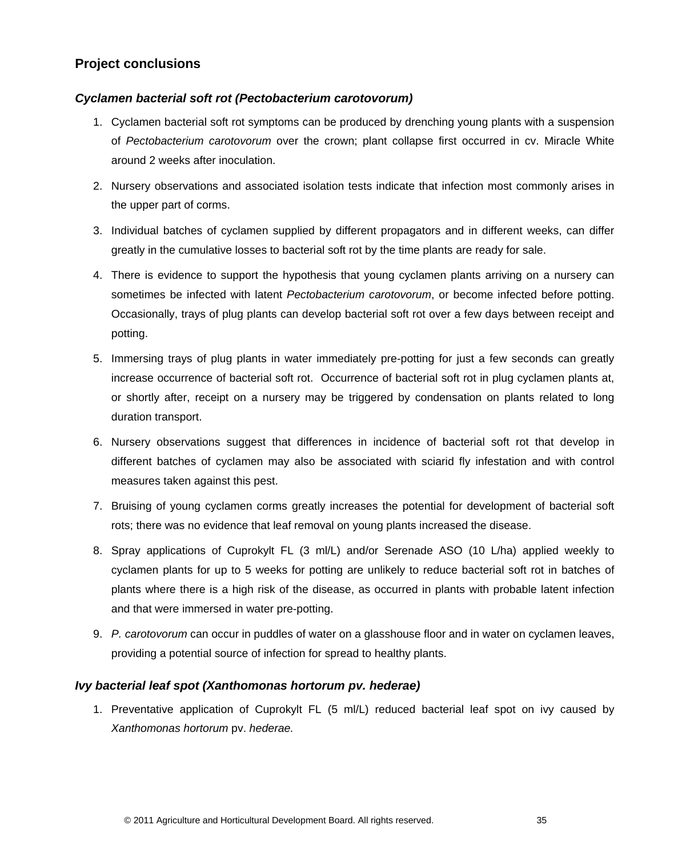# <span id="page-39-0"></span>**Project conclusions**

## *Cyclamen bacterial soft rot (Pectobacterium carotovorum)*

- 1. Cyclamen bacterial soft rot symptoms can be produced by drenching young plants with a suspension of *Pectobacterium carotovorum* over the crown; plant collapse first occurred in cv. Miracle White around 2 weeks after inoculation.
- 2. Nursery observations and associated isolation tests indicate that infection most commonly arises in the upper part of corms.
- 3. Individual batches of cyclamen supplied by different propagators and in different weeks, can differ greatly in the cumulative losses to bacterial soft rot by the time plants are ready for sale.
- 4. There is evidence to support the hypothesis that young cyclamen plants arriving on a nursery can sometimes be infected with latent *Pectobacterium carotovorum*, or become infected before potting. Occasionally, trays of plug plants can develop bacterial soft rot over a few days between receipt and potting.
- 5. Immersing trays of plug plants in water immediately pre-potting for just a few seconds can greatly increase occurrence of bacterial soft rot. Occurrence of bacterial soft rot in plug cyclamen plants at, or shortly after, receipt on a nursery may be triggered by condensation on plants related to long duration transport.
- 6. Nursery observations suggest that differences in incidence of bacterial soft rot that develop in different batches of cyclamen may also be associated with sciarid fly infestation and with control measures taken against this pest.
- 7. Bruising of young cyclamen corms greatly increases the potential for development of bacterial soft rots; there was no evidence that leaf removal on young plants increased the disease.
- 8. Spray applications of Cuprokylt FL (3 ml/L) and/or Serenade ASO (10 L/ha) applied weekly to cyclamen plants for up to 5 weeks for potting are unlikely to reduce bacterial soft rot in batches of plants where there is a high risk of the disease, as occurred in plants with probable latent infection and that were immersed in water pre-potting.
- 9. *P. carotovorum* can occur in puddles of water on a glasshouse floor and in water on cyclamen leaves, providing a potential source of infection for spread to healthy plants.

#### *Ivy bacterial leaf spot (Xanthomonas hortorum pv. hederae)*

1. Preventative application of Cuprokylt FL (5 ml/L) reduced bacterial leaf spot on ivy caused by *Xanthomonas hortorum* pv. *hederae.*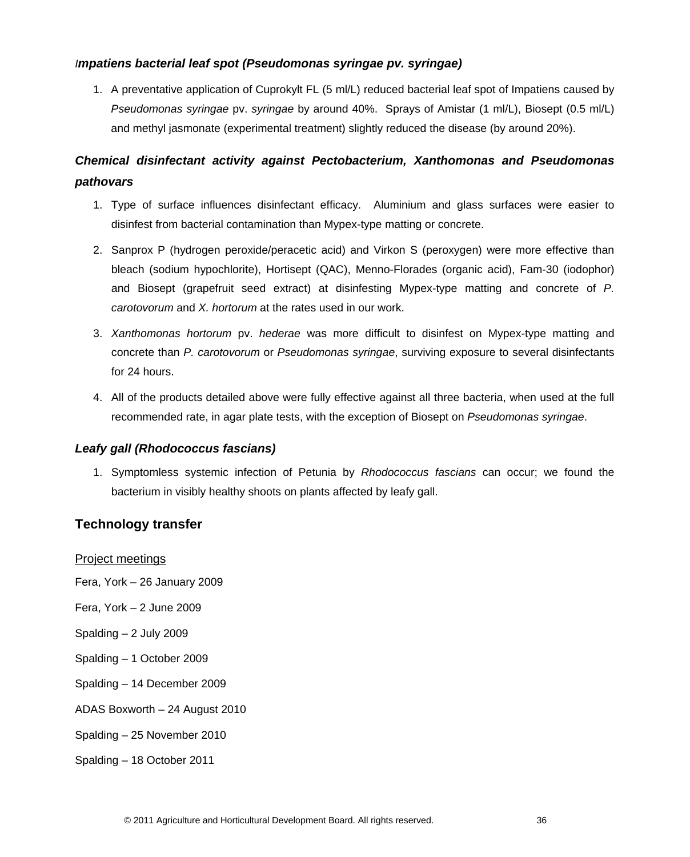## *Impatiens bacterial leaf spot (Pseudomonas syringae pv. syringae)*

1. A preventative application of Cuprokylt FL (5 ml/L) reduced bacterial leaf spot of Impatiens caused by *Pseudomonas syringae* pv. *syringae* by around 40%. Sprays of Amistar (1 ml/L), Biosept (0.5 ml/L) and methyl jasmonate (experimental treatment) slightly reduced the disease (by around 20%).

# *Chemical disinfectant activity against Pectobacterium, Xanthomonas and Pseudomonas pathovars*

- 1. Type of surface influences disinfectant efficacy. Aluminium and glass surfaces were easier to disinfest from bacterial contamination than Mypex-type matting or concrete.
- 2. Sanprox P (hydrogen peroxide/peracetic acid) and Virkon S (peroxygen) were more effective than bleach (sodium hypochlorite), Hortisept (QAC), Menno-Florades (organic acid), Fam-30 (iodophor) and Biosept (grapefruit seed extract) at disinfesting Mypex-type matting and concrete of *P. carotovorum* and *X. hortorum* at the rates used in our work.
- 3. *Xanthomonas hortorum* pv. *hederae* was more difficult to disinfest on Mypex-type matting and concrete than *P. carotovorum* or *Pseudomonas syringae*, surviving exposure to several disinfectants for 24 hours.
- 4. All of the products detailed above were fully effective against all three bacteria, when used at the full recommended rate, in agar plate tests, with the exception of Biosept on *Pseudomonas syringae*.

## *Leafy gall (Rhodococcus fascians)*

1. Symptomless systemic infection of Petunia by *Rhodococcus fascians* can occur; we found the bacterium in visibly healthy shoots on plants affected by leafy gall.

## <span id="page-40-0"></span>**Technology transfer**

## Project meetings

- Fera, York 26 January 2009
- Fera, York 2 June 2009
- Spalding 2 July 2009
- Spalding 1 October 2009
- Spalding 14 December 2009
- ADAS Boxworth 24 August 2010
- Spalding 25 November 2010
- Spalding 18 October 2011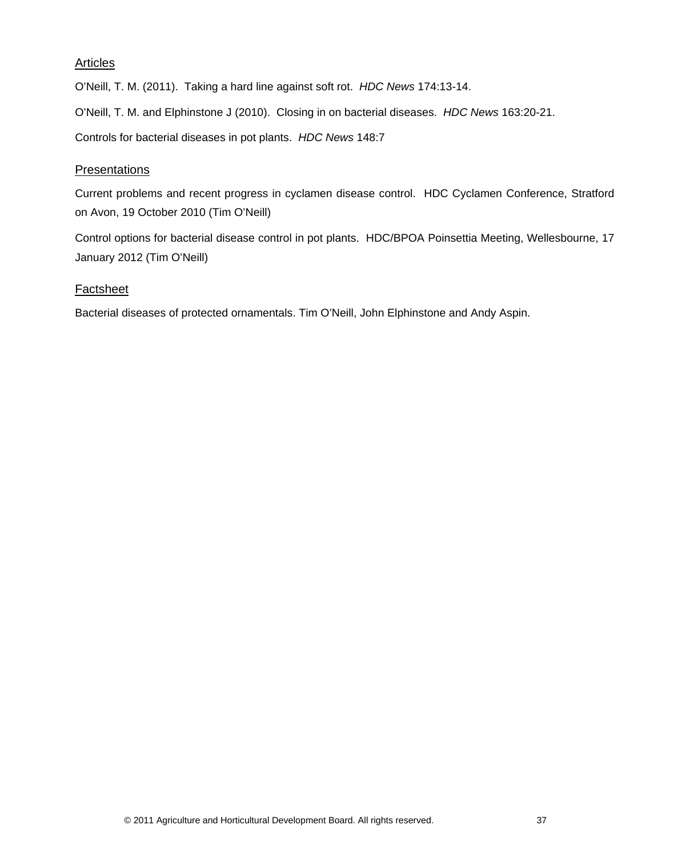## Articles

O'Neill, T. M. (2011). Taking a hard line against soft rot. *HDC News* 174:13-14.

O'Neill, T. M. and Elphinstone J (2010). Closing in on bacterial diseases. *HDC News* 163:20-21.

Controls for bacterial diseases in pot plants. *HDC News* 148:7

## **Presentations**

Current problems and recent progress in cyclamen disease control. HDC Cyclamen Conference, Stratford on Avon, 19 October 2010 (Tim O'Neill)

Control options for bacterial disease control in pot plants. HDC/BPOA Poinsettia Meeting, Wellesbourne, 17 January 2012 (Tim O'Neill)

## **Factsheet**

Bacterial diseases of protected ornamentals. Tim O'Neill, John Elphinstone and Andy Aspin.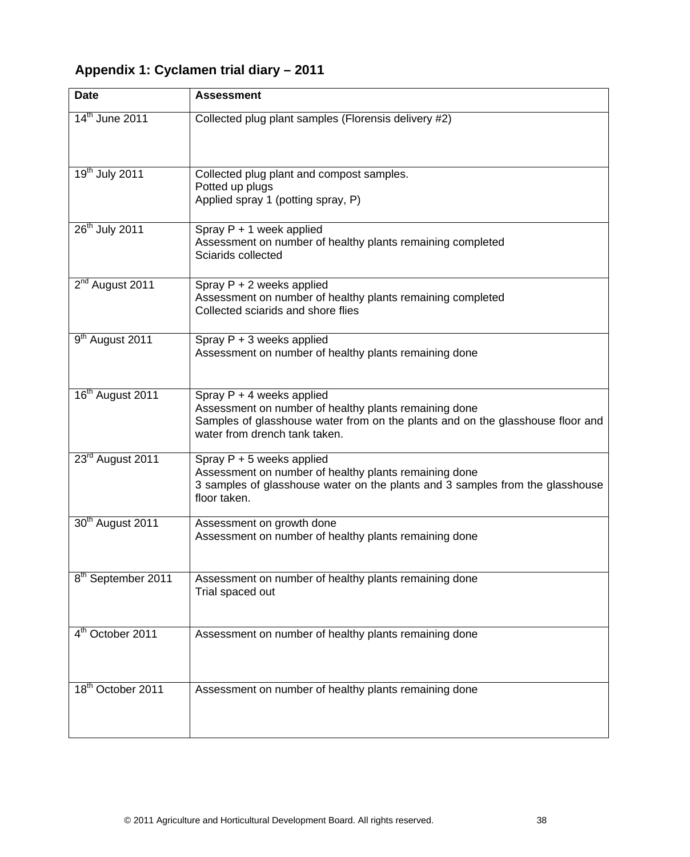# <span id="page-42-0"></span>**Appendix 1: Cyclamen trial diary – 2011**

| <b>Date</b>                    | <b>Assessment</b>                                                                                                                                                                                       |
|--------------------------------|---------------------------------------------------------------------------------------------------------------------------------------------------------------------------------------------------------|
| 14 <sup>th</sup> June 2011     | Collected plug plant samples (Florensis delivery #2)                                                                                                                                                    |
| 19 <sup>th</sup> July 2011     | Collected plug plant and compost samples.<br>Potted up plugs<br>Applied spray 1 (potting spray, P)                                                                                                      |
| 26 <sup>th</sup> July 2011     | Spray P + 1 week applied<br>Assessment on number of healthy plants remaining completed<br>Sciarids collected                                                                                            |
| 2 <sup>nd</sup> August 2011    | Spray P + 2 weeks applied<br>Assessment on number of healthy plants remaining completed<br>Collected sciarids and shore flies                                                                           |
| 9 <sup>th</sup> August 2011    | Spray $P + 3$ weeks applied<br>Assessment on number of healthy plants remaining done                                                                                                                    |
| 16 <sup>th</sup> August 2011   | Spray $P + 4$ weeks applied<br>Assessment on number of healthy plants remaining done<br>Samples of glasshouse water from on the plants and on the glasshouse floor and<br>water from drench tank taken. |
| 23 <sup>rd</sup> August 2011   | Spray $P + 5$ weeks applied<br>Assessment on number of healthy plants remaining done<br>3 samples of glasshouse water on the plants and 3 samples from the glasshouse<br>floor taken.                   |
| 30 <sup>th</sup> August 2011   | Assessment on growth done<br>Assessment on number of healthy plants remaining done                                                                                                                      |
| 8 <sup>th</sup> September 2011 | Assessment on number of healthy plants remaining done<br>Trial spaced out                                                                                                                               |
| 4 <sup>th</sup> October 2011   | Assessment on number of healthy plants remaining done                                                                                                                                                   |
| 18 <sup>th</sup> October 2011  | Assessment on number of healthy plants remaining done                                                                                                                                                   |